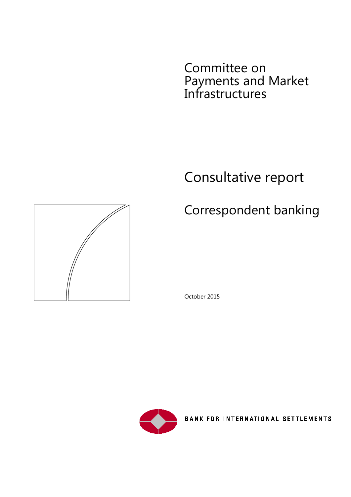Committee on Payments and Market Infrastructures

# Consultative report

# Correspondent banking





**BANK FOR INTERNATIONAL SETTLEMENTS** 

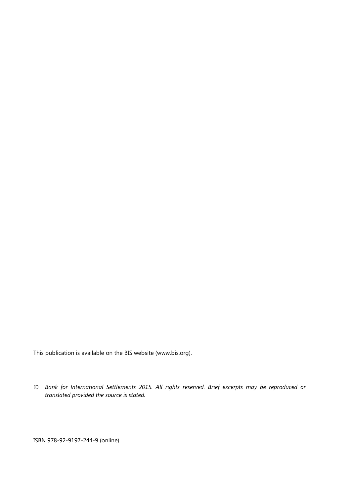This publication is available on the BIS website [\(www.bis.org\)](http://www.bis.org/).

*© Bank for International Settlements 2015. All rights reserved. Brief excerpts may be reproduced or translated provided the source is stated.*

ISBN 978-92-9197-244-9 (online)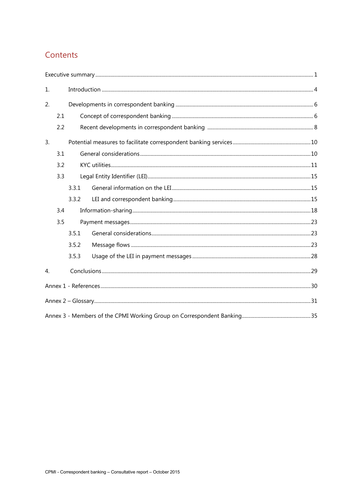# Contents

| 1. |     |       |  |  |
|----|-----|-------|--|--|
| 2. |     |       |  |  |
|    | 2.1 |       |  |  |
|    | 2.2 |       |  |  |
| 3. |     |       |  |  |
|    | 3.1 |       |  |  |
|    | 3.2 |       |  |  |
|    | 3.3 |       |  |  |
|    |     | 3.3.1 |  |  |
|    |     | 3.3.2 |  |  |
|    | 3.4 |       |  |  |
|    | 3.5 |       |  |  |
|    |     | 3.5.1 |  |  |
|    |     | 3.5.2 |  |  |
|    |     | 3.5.3 |  |  |
| 4. |     |       |  |  |
|    |     |       |  |  |
|    |     |       |  |  |
|    |     |       |  |  |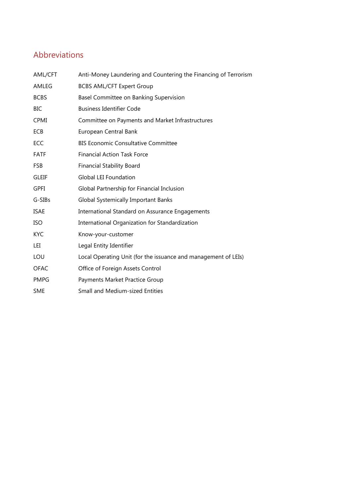# Abbreviations

| AML/CFT      | Anti-Money Laundering and Countering the Financing of Terrorism |
|--------------|-----------------------------------------------------------------|
| AMLEG        | <b>BCBS AML/CFT Expert Group</b>                                |
| <b>BCBS</b>  | Basel Committee on Banking Supervision                          |
| <b>BIC</b>   | <b>Business Identifier Code</b>                                 |
| <b>CPMI</b>  | Committee on Payments and Market Infrastructures                |
| ECB          | European Central Bank                                           |
| ECC          | <b>BIS Economic Consultative Committee</b>                      |
| <b>FATF</b>  | <b>Financial Action Task Force</b>                              |
| <b>FSB</b>   | <b>Financial Stability Board</b>                                |
| <b>GLEIF</b> | <b>Global LEI Foundation</b>                                    |
| <b>GPFI</b>  | Global Partnership for Financial Inclusion                      |
| G-SIBs       | <b>Global Systemically Important Banks</b>                      |
| <b>ISAE</b>  | International Standard on Assurance Engagements                 |
| <b>ISO</b>   | International Organization for Standardization                  |
| <b>KYC</b>   | Know-your-customer                                              |
| LEI          | Legal Entity Identifier                                         |
| LOU          | Local Operating Unit (for the issuance and management of LEIs)  |
| <b>OFAC</b>  | Office of Foreign Assets Control                                |
| <b>PMPG</b>  | Payments Market Practice Group                                  |
| <b>SME</b>   | <b>Small and Medium-sized Entities</b>                          |
|              |                                                                 |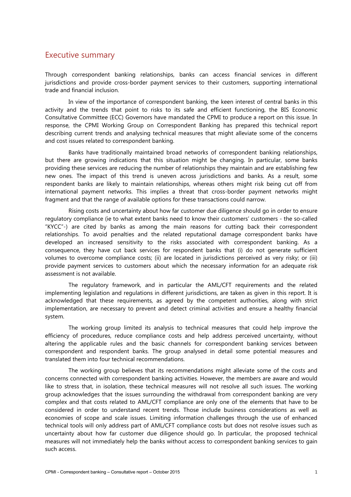# <span id="page-4-0"></span>Executive summary

Through correspondent banking relationships, banks can access financial services in different jurisdictions and provide cross-border payment services to their customers, supporting international trade and financial inclusion.

In view of the importance of correspondent banking, the keen interest of central banks in this activity and the trends that point to risks to its safe and efficient functioning, the BIS Economic Consultative Committee (ECC) Governors have mandated the CPMI to produce a report on this issue. In response, the CPMI Working Group on Correspondent Banking has prepared this technical report describing current trends and analysing technical measures that might alleviate some of the concerns and cost issues related to correspondent banking.

Banks have traditionally maintained broad networks of correspondent banking relationships, but there are growing indications that this situation might be changing. In particular, some banks providing these services are reducing the number of relationships they maintain and are establishing few new ones. The impact of this trend is uneven across jurisdictions and banks. As a result, some respondent banks are likely to maintain relationships, whereas others might risk being cut off from international payment networks. This implies a threat that cross-border payment networks might fragment and that the range of available options for these transactions could narrow.

Rising costs and uncertainty about how far customer due diligence should go in order to ensure regulatory compliance (ie to what extent banks need to know their customers' customers - the so-called "KYCC"-) are cited by banks as among the main reasons for cutting back their correspondent relationships. To avoid penalties and the related reputational damage correspondent banks have developed an increased sensitivity to the risks associated with correspondent banking. As a consequence, they have cut back services for respondent banks that (i) do not generate sufficient volumes to overcome compliance costs; (ii) are located in jurisdictions perceived as very risky; or (iii) provide payment services to customers about which the necessary information for an adequate risk assessment is not available.

The regulatory framework, and in particular the AML/CFT requirements and the related implementing legislation and regulations in different jurisdictions, are taken as given in this report. It is acknowledged that these requirements, as agreed by the competent authorities, along with strict implementation, are necessary to prevent and detect criminal activities and ensure a healthy financial system.

The working group limited its analysis to technical measures that could help improve the efficiency of procedures, reduce compliance costs and help address perceived uncertainty, without altering the applicable rules and the basic channels for correspondent banking services between correspondent and respondent banks. The group analysed in detail some potential measures and translated them into four technical recommendations.

The working group believes that its recommendations might alleviate some of the costs and concerns connected with correspondent banking activities. However, the members are aware and would like to stress that, in isolation, these technical measures will not resolve all such issues. The working group acknowledges that the issues surrounding the withdrawal from correspondent banking are very complex and that costs related to AML/CFT compliance are only one of the elements that have to be considered in order to understand recent trends. Those include business considerations as well as economies of scope and scale issues. Limiting information challenges through the use of enhanced technical tools will only address part of AML/CFT compliance costs but does not resolve issues such as uncertainty about how far customer due diligence should go. In particular, the proposed technical measures will not immediately help the banks without access to correspondent banking services to gain such access.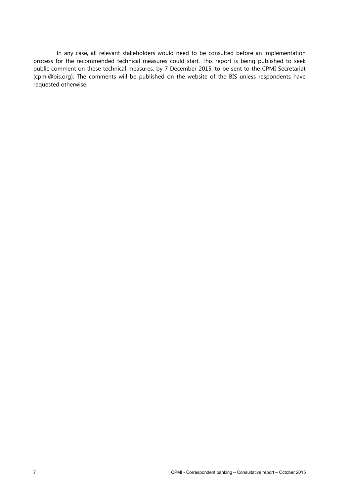In any case, all relevant stakeholders would need to be consulted before an implementation process for the recommended technical measures could start. This report is being published to seek public comment on these technical measures, by 7 December 2015, to be sent to the CPMI Secretariat [\(cpmi@bis.org\)](mailto:cpmi@bis.org). The comments will be published on the website of the BIS unless respondents have requested otherwise.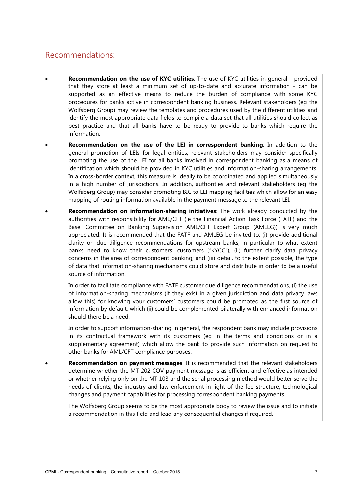# Recommendations:

- **Recommendation on the use of KYC utilities**: The use of KYC utilities in general provided that they store at least a minimum set of up-to-date and accurate information - can be supported as an effective means to reduce the burden of compliance with some KYC procedures for banks active in correspondent banking business. Relevant stakeholders (eg the Wolfsberg Group) may review the templates and procedures used by the different utilities and identify the most appropriate data fields to compile a data set that all utilities should collect as best practice and that all banks have to be ready to provide to banks which require the information.
- **Recommendation on the use of the LEI in correspondent banking**: In addition to the general promotion of LEIs for legal entities, relevant stakeholders may consider specifically promoting the use of the LEI for all banks involved in correspondent banking as a means of identification which should be provided in KYC utilities and information-sharing arrangements. In a cross-border context, this measure is ideally to be coordinated and applied simultaneously in a high number of jurisdictions. In addition, authorities and relevant stakeholders (eg the Wolfsberg Group) may consider promoting BIC to LEI mapping facilities which allow for an easy mapping of routing information available in the payment message to the relevant LEI.
- **Recommendation on information-sharing initiatives**: The work already conducted by the authorities with responsibility for AML/CFT (ie the Financial Action Task Force (FATF) and the Basel Committee on Banking Supervision AML/CFT Expert Group (AMLEG)) is very much appreciated. It is recommended that the FATF and AMLEG be invited to: (i) provide additional clarity on due diligence recommendations for upstream banks, in particular to what extent banks need to know their customers' customers ("KYCC"); (ii) further clarify data privacy concerns in the area of correspondent banking; and (iii) detail, to the extent possible, the type of data that information-sharing mechanisms could store and distribute in order to be a useful source of information.

In order to facilitate compliance with FATF customer due diligence recommendations, (i) the use of information-sharing mechanisms (if they exist in a given jurisdiction and data privacy laws allow this) for knowing your customers' customers could be promoted as the first source of information by default, which (ii) could be complemented bilaterally with enhanced information should there be a need.

In order to support information-sharing in general, the respondent bank may include provisions in its contractual framework with its customers (eg in the terms and conditions or in a supplementary agreement) which allow the bank to provide such information on request to other banks for AML/CFT compliance purposes.

• **Recommendation on payment messages**: It is recommended that the relevant stakeholders determine whether the MT 202 COV payment message is as efficient and effective as intended or whether relying only on the MT 103 and the serial processing method would better serve the needs of clients, the industry and law enforcement in light of the fee structure, technological changes and payment capabilities for processing correspondent banking payments.

The Wolfsberg Group seems to be the most appropriate body to review the issue and to initiate a recommendation in this field and lead any consequential changes if required.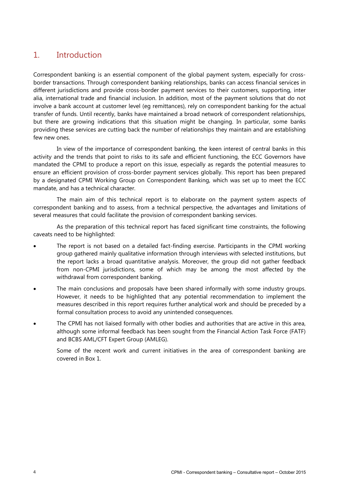# <span id="page-7-0"></span>1. Introduction

Correspondent banking is an essential component of the global payment system, especially for crossborder transactions. Through correspondent banking relationships, banks can access financial services in different jurisdictions and provide cross-border payment services to their customers, supporting, inter alia, international trade and financial inclusion. In addition, most of the payment solutions that do not involve a bank account at customer level (eg remittances), rely on correspondent banking for the actual transfer of funds. Until recently, banks have maintained a broad network of correspondent relationships, but there are growing indications that this situation might be changing. In particular, some banks providing these services are cutting back the number of relationships they maintain and are establishing few new ones.

In view of the importance of correspondent banking, the keen interest of central banks in this activity and the trends that point to risks to its safe and efficient functioning, the ECC Governors have mandated the CPMI to produce a report on this issue, especially as regards the potential measures to ensure an efficient provision of cross-border payment services globally. This report has been prepared by a designated CPMI Working Group on Correspondent Banking, which was set up to meet the ECC mandate, and has a technical character.

The main aim of this technical report is to elaborate on the payment system aspects of correspondent banking and to assess, from a technical perspective, the advantages and limitations of several measures that could facilitate the provision of correspondent banking services.

As the preparation of this technical report has faced significant time constraints, the following caveats need to be highlighted:

- The report is not based on a detailed fact-finding exercise. Participants in the CPMI working group gathered mainly qualitative information through interviews with selected institutions, but the report lacks a broad quantitative analysis. Moreover, the group did not gather feedback from non-CPMI jurisdictions, some of which may be among the most affected by the withdrawal from correspondent banking.
- The main conclusions and proposals have been shared informally with some industry groups. However, it needs to be highlighted that any potential recommendation to implement the measures described in this report requires further analytical work and should be preceded by a formal consultation process to avoid any unintended consequences.
- The CPMI has not liaised formally with other bodies and authorities that are active in this area, although some informal feedback has been sought from the Financial Action Task Force (FATF) and BCBS AML/CFT Expert Group (AMLEG).

Some of the recent work and current initiatives in the area of correspondent banking are covered in Box 1.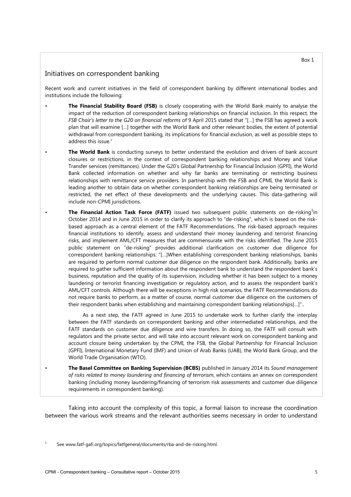## Initiatives on correspondent banking

Recent work and current initiatives in the field of correspondent banking by different international bodies and institutions include the following:

- **The Financial Stability Board (FSB)** is closely cooperating with the World Bank mainly to analyse the impact of the reduction of correspondent banking relationships on financial inclusion. In this respect, the *FSB Chair's letter to the G20 on financial reforms* of 9 April 2015 stated that "[…] the FSB has agreed a work plan that will examine […] together with the World Bank and other relevant bodies, the extent of potential withdrawal from correspondent banking, its implications for financial exclusion, as well as possible steps to address this issue."
- **The World Bank** is conducting surveys to better understand the evolution and drivers of bank account closures or restrictions, in the context of correspondent banking relationships and Money and Value Transfer services (remittances). Under the G20's Global Partnership for Financial Inclusion (GPFI), the World Bank collected information on whether and why far banks are terminating or restricting business relationships with remittance service providers. In partnership with the FSB and CPMI, the World Bank is leading another to obtain data on whether correspondent banking relationships are being terminated or restricted, the net effect of these developments and the underlying causes. This data-gathering will include non-CPMI jurisdictions.
- The Financial Action Task Force (FATF) issued two subsequent public statements on de-risking<sup>1</sup>in October 2014 and in June 2015 in order to clarify its approach to "de-risking", which is based on the riskbased approach as a central element of the FATF Recommendations. The risk-based approach requires financial institutions to identify, assess and understand their money laundering and terrorist financing risks, and implement AML/CFT measures that are commensurate with the risks identified. The June 2015 public statement on "de-risking" provides additional clarification on customer due diligence for correspondent banking relationships: "[…]When establishing correspondent banking relationships, banks are required to perform normal customer due diligence on the respondent bank. Additionally, banks are required to gather sufficient information about the respondent bank to understand the respondent bank's business, reputation and the quality of its supervision, including whether it has been subject to a money laundering or terrorist financing investigation or regulatory action, and to assess the respondent bank's AML/CFT controls. Although there will be exceptions in high risk scenarios, the FATF Recommendations do not require banks to perform, as a matter of course, normal customer due diligence on the customers of their respondent banks when establishing and maintaining correspondent banking relationships[…]"..

As a next step, the FATF agreed in June 2015 to undertake work to further clarify the interplay between the FATF standards on correspondent banking and other intermediated relationships, and the FATF standards on customer due diligence and wire transfers. In doing so, the FATF will consult with regulators and the private sector, and will take into account relevant work on correspondent banking and account closure being undertaken by the CPMI, the FSB, the Global Partnership for Financial Inclusion (GPFI), International Monetary Fund (IMF) and Union of Arab Banks (UAB), the World Bank Group, and the World Trade Organisation (WTO).

• **The Basel Committee on Banking Supervision (BCBS)** published in January 2014 its *Sound management of risks related to money laundering and financing of terrorism*, which contains an annex on correspondent banking (including money laundering/financing of terrorism risk assessments and customer due diligence requirements in correspondent banking).

Taking into account the complexity of this topic, a formal liaison to increase the coordination between the various work streams and the relevant authorities seems necessary in order to understand

See www.fatf-gafi.org/topics/fatfgeneral/documents/rba-and-de-risking.html.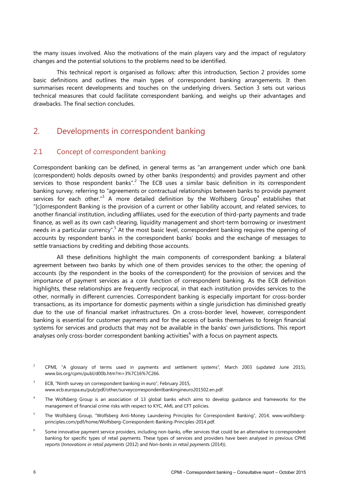the many issues involved. Also the motivations of the main players vary and the impact of regulatory changes and the potential solutions to the problems need to be identified.

This technical report is organised as follows: after this introduction, Section 2 provides some basic definitions and outlines the main types of correspondent banking arrangements. It then summarises recent developments and touches on the underlying drivers. Section 3 sets out various technical measures that could facilitate correspondent banking, and weighs up their advantages and drawbacks. The final section concludes.

# <span id="page-9-0"></span>2. Developments in correspondent banking

# <span id="page-9-1"></span>2.1 Concept of correspondent banking

Correspondent banking can be defined, in general terms as "an arrangement under which one bank (correspondent) holds deposits owned by other banks (respondents) and provides payment and other services to those respondent banks".<sup>2</sup> The ECB uses a similar basic definition in its correspondent banking survey, referring to "agreements or contractual relationships between banks to provide payment services for each other."<sup>3</sup> A more detailed definition by the Wolfsberg Group<sup>4</sup> establishes that "[c]orrespondent Banking is the provision of a current or other liability account, and related services, to another financial institution, including affiliates, used for the execution of third-party payments and trade finance, as well as its own cash clearing, liquidity management and short-term borrowing or investment needs in a particular currency".<sup>5</sup> At the most basic level, correspondent banking requires the opening of accounts by respondent banks in the correspondent banks' books and the exchange of messages to settle transactions by crediting and debiting those accounts.

All these definitions highlight the main components of correspondent banking: a bilateral agreement between two banks by which one of them provides services to the other; the opening of accounts (by the respondent in the books of the correspondent) for the provision of services and the importance of payment services as a core function of correspondent banking. As the ECB definition highlights, these relationships are frequently reciprocal, in that each institution provides services to the other, normally in different currencies. Correspondent banking is especially important for cross-border transactions, as its importance for domestic payments within a single jurisdiction has diminished greatly due to the use of financial market infrastructures. On a cross-border level, however, correspondent banking is essential for customer payments and for the access of banks themselves to foreign financial systems for services and products that may not be available in the banks' own jurisdictions. This report analyses only cross-border correspondent banking activities<sup>6</sup> with a focus on payment aspects.

- <sup>2</sup> CPMI, "A glossary of terms used in payments and settlement systems", March 2003 (updated June 2015), www.bis.org/cpmi/publ/d00b.htm?m=3%7C16%7C266.
- <sup>3</sup> ECB, "Ninth survey on correspondent banking in euro", February 2015, www.ecb.europa.eu/pub/pdf/other/surveycorrespondentbankingineuro201502.en.pdf.
- 4 The Wolfsberg Group is an association of 13 global banks which aims to develop guidance and frameworks for the management of financial crime risks with respect to KYC, AML and CFT policies.
- <sup>5</sup> The Wolfsberg Group, "Wolfsberg Anti-Money Laundering Principles for Correspondent Banking", 2014, www.wolfsbergprinciples.com/pdf/home/Wolfsberg-Correspondent-Banking-Principles-2014.pdf.
- <sup>6</sup> Some innovative payment service providers, including non-banks, offer services that could be an alternative to correspondent banking for specific types of retail payments. These types of services and providers have been analysed in previous CPMI reports (*Innovations in retail payments* (2012) and *Non-banks in retail payments* (2014)).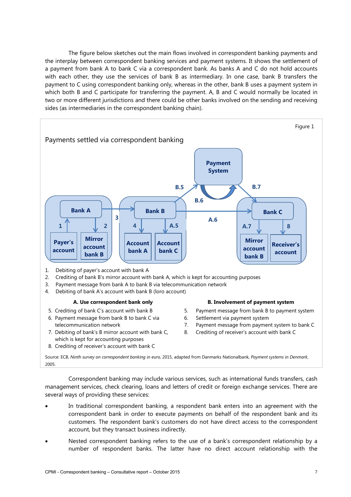The figure below sketches out the main flows involved in correspondent banking payments and the interplay between correspondent banking services and payment systems. It shows the settlement of a payment from bank A to bank C via a correspondent bank. As banks A and C do not hold accounts with each other, they use the services of bank B as intermediary. In one case, bank B transfers the payment to C using correspondent banking only, whereas in the other, bank B uses a payment system in which both B and C participate for transferring the payment. A, B and C would normally be located in two or more different jurisdictions and there could be other banks involved on the sending and receiving sides (as intermediaries in the correspondent banking chain).



- 6. Payment message from bank B to bank C via telecommunication network
- 7. Debiting of bank's B mirror account with bank C, which is kept for accounting purposes
- 8. Crediting of receiver's account with bank C
- 6. Settlement via payment system
- 7. Payment message from payment system to bank C
- 8. Crediting of receiver's account with bank C

Source: ECB, *Ninth survey on correspondent banking in euro,* 2015, adapted from Danmarks Nationalbank, *Payment systems in Denmark*, 2005.

Correspondent banking may include various services, such as international funds transfers, cash management services, check clearing, loans and letters of credit or foreign exchange services. There are several ways of providing these services:

- In traditional correspondent banking, a respondent bank enters into an agreement with the correspondent bank in order to execute payments on behalf of the respondent bank and its customers. The respondent bank's customers do not have direct access to the correspondent account, but they transact business indirectly.
- Nested correspondent banking refers to the use of a bank's correspondent relationship by a number of respondent banks. The latter have no direct account relationship with the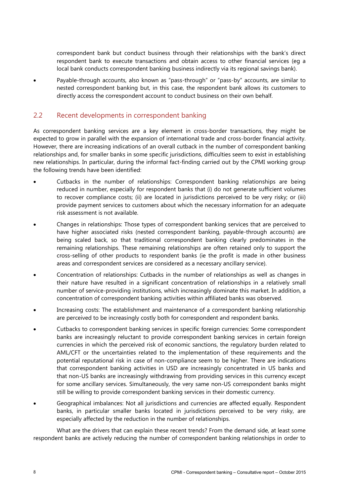correspondent bank but conduct business through their relationships with the bank's direct respondent bank to execute transactions and obtain access to other financial services (eg a local bank conducts correspondent banking business indirectly via its regional savings bank).

• Payable-through accounts, also known as "pass-through" or "pass-by" accounts, are similar to nested correspondent banking but, in this case, the respondent bank allows its customers to directly access the correspondent account to conduct business on their own behalf.

# <span id="page-11-0"></span>2.2 Recent developments in correspondent banking

As correspondent banking services are a key element in cross-border transactions, they might be expected to grow in parallel with the expansion of international trade and cross-border financial activity. However, there are increasing indications of an overall cutback in the number of correspondent banking relationships and, for smaller banks in some specific jurisdictions, difficulties seem to exist in establishing new relationships. In particular, during the informal fact-finding carried out by the CPMI working group the following trends have been identified:

- Cutbacks in the number of relationships: Correspondent banking relationships are being reduced in number, especially for respondent banks that (i) do not generate sufficient volumes to recover compliance costs; (ii) are located in jurisdictions perceived to be very risky; or (iii) provide payment services to customers about which the necessary information for an adequate risk assessment is not available.
- Changes in relationships: Those types of correspondent banking services that are perceived to have higher associated risks (nested correspondent banking, payable-through accounts) are being scaled back, so that traditional correspondent banking clearly predominates in the remaining relationships. These remaining relationships are often retained only to support the cross-selling of other products to respondent banks (ie the profit is made in other business areas and correspondent services are considered as a necessary ancillary service).
- Concentration of relationships: Cutbacks in the number of relationships as well as changes in their nature have resulted in a significant concentration of relationships in a relatively small number of service-providing institutions, which increasingly dominate this market. In addition, a concentration of correspondent banking activities within affiliated banks was observed.
- Increasing costs: The establishment and maintenance of a correspondent banking relationship are perceived to be increasingly costly both for correspondent and respondent banks.
- Cutbacks to correspondent banking services in specific foreign currencies: Some correspondent banks are increasingly reluctant to provide correspondent banking services in certain foreign currencies in which the perceived risk of economic sanctions, the regulatory burden related to AML/CFT or the uncertainties related to the implementation of these requirements and the potential reputational risk in case of non-compliance seem to be higher. There are indications that correspondent banking activities in USD are increasingly concentrated in US banks and that non-US banks are increasingly withdrawing from providing services in this currency except for some ancillary services. Simultaneously, the very same non-US correspondent banks might still be willing to provide correspondent banking services in their domestic currency.
- Geographical imbalances: Not all jurisdictions and currencies are affected equally. Respondent banks, in particular smaller banks located in jurisdictions perceived to be very risky, are especially affected by the reduction in the number of relationships.

What are the drivers that can explain these recent trends? From the demand side, at least some respondent banks are actively reducing the number of correspondent banking relationships in order to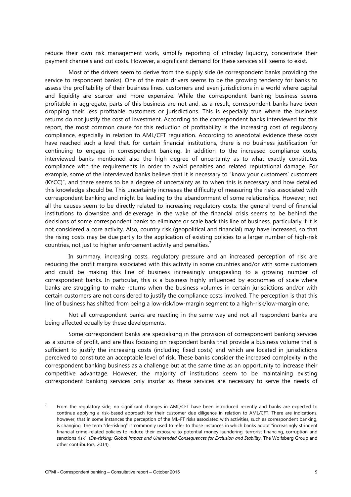reduce their own risk management work, simplify reporting of intraday liquidity, concentrate their payment channels and cut costs. However, a significant demand for these services still seems to exist.

Most of the drivers seem to derive from the supply side (ie correspondent banks providing the service to respondent banks). One of the main drivers seems to be the growing tendency for banks to assess the profitability of their business lines, customers and even jurisdictions in a world where capital and liquidity are scarcer and more expensive. While the correspondent banking business seems profitable in aggregate, parts of this business are not and, as a result, correspondent banks have been dropping their less profitable customers or jurisdictions. This is especially true where the business returns do not justify the cost of investment. According to the correspondent banks interviewed for this report, the most common cause for this reduction of profitability is the increasing cost of regulatory compliance, especially in relation to AML/CFT regulation. According to anecdotal evidence these costs have reached such a level that, for certain financial institutions, there is no business justification for continuing to engage in correspondent banking. In addition to the increased compliance costs, interviewed banks mentioned also the high degree of uncertainty as to what exactly constitutes compliance with the requirements in order to avoid penalties and related reputational damage. For example, some of the interviewed banks believe that it is necessary to "know your customers' customers (KYCC)", and there seems to be a degree of uncertainty as to when this is necessary and how detailed this knowledge should be. This uncertainty increases the difficulty of measuring the risks associated with correspondent banking and might be leading to the abandonment of some relationships. However, not all the causes seem to be directly related to increasing regulatory costs: the general trend of financial institutions to downsize and deleverage in the wake of the financial crisis seems to be behind the decisions of some correspondent banks to eliminate or scale back this line of business, particularly if it is not considered a core activity. Also, country risk (geopolitical and financial) may have increased, so that the rising costs may be due partly to the application of existing policies to a larger number of high-risk countries, not just to higher enforcement activity and penalties.<sup>7</sup>

In summary, increasing costs, regulatory pressure and an increased perception of risk are reducing the profit margins associated with this activity in some countries and/or with some customers and could be making this line of business increasingly unappealing to a growing number of correspondent banks. In particular, this is a business highly influenced by economies of scale where banks are struggling to make returns when the business volumes in certain jurisdictions and/or with certain customers are not considered to justify the compliance costs involved. The perception is that this line of business has shifted from being a low-risk/low-margin segment to a high-risk/low-margin one.

Not all correspondent banks are reacting in the same way and not all respondent banks are being affected equally by these developments.

Some correspondent banks are specialising in the provision of correspondent banking services as a source of profit, and are thus focusing on respondent banks that provide a business volume that is sufficient to justify the increasing costs (including fixed costs) and which are located in jurisdictions perceived to constitute an acceptable level of risk. These banks consider the increased complexity in the correspondent banking business as a challenge but at the same time as an opportunity to increase their competitive advantage. However, the majority of institutions seem to be maintaining existing correspondent banking services only insofar as these services are necessary to serve the needs of

From the regulatory side, no significant changes in AML/CFT have been introduced recently and banks are expected to continue applying a risk-based approach for their customer due diligence in relation to AML/CFT. There are indications, however, that in some instances the perception of the ML-FT risks associated with activities, such as correspondent banking, is changing. The term "de-risking" is commonly used to refer to those instances in which banks adopt "increasingly stringent financial crime-related policies to reduce their exposure to potential money laundering, terrorist financing, corruption and sanctions risk". (*De-risking: Global Impact and Unintended Consequences for Exclusion and Stability*, The Wolfsberg Group and other contributors, 2014).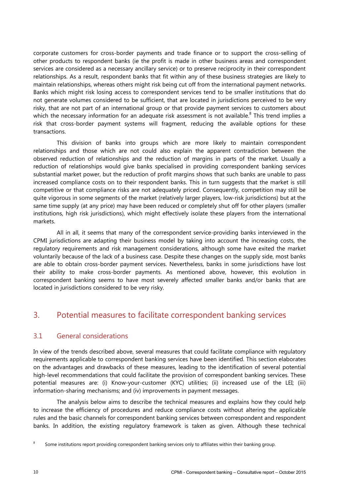corporate customers for cross-border payments and trade finance or to support the cross-selling of other products to respondent banks (ie the profit is made in other business areas and correspondent services are considered as a necessary ancillary service) or to preserve reciprocity in their correspondent relationships. As a result, respondent banks that fit within any of these business strategies are likely to maintain relationships, whereas others might risk being cut off from the international payment networks. Banks which might risk losing access to correspondent services tend to be smaller institutions that do not generate volumes considered to be sufficient, that are located in jurisdictions perceived to be very risky, that are not part of an international group or that provide payment services to customers about which the necessary information for an adequate risk assessment is not available.<sup>8</sup> This trend implies a risk that cross-border payment systems will fragment, reducing the available options for these transactions.

This division of banks into groups which are more likely to maintain correspondent relationships and those which are not could also explain the apparent contradiction between the observed reduction of relationships and the reduction of margins in parts of the market. Usually a reduction of relationships would give banks specialised in providing correspondent banking services substantial market power, but the reduction of profit margins shows that such banks are unable to pass increased compliance costs on to their respondent banks. This in turn suggests that the market is still competitive or that compliance risks are not adequately priced. Consequently, competition may still be quite vigorous in some segments of the market (relatively larger players, low-risk jurisdictions) but at the same time supply (at any price) may have been reduced or completely shut off for other players (smaller institutions, high risk jurisdictions), which might effectively isolate these players from the international markets.

All in all, it seems that many of the correspondent service-providing banks interviewed in the CPMI jurisdictions are adapting their business model by taking into account the increasing costs, the regulatory requirements and risk management considerations, although some have exited the market voluntarily because of the lack of a business case. Despite these changes on the supply side, most banks are able to obtain cross-border payment services. Nevertheless, banks in some jurisdictions have lost their ability to make cross-border payments. As mentioned above, however, this evolution in correspondent banking seems to have most severely affected smaller banks and/or banks that are located in jurisdictions considered to be very risky.

# <span id="page-13-0"></span>3. Potential measures to facilitate correspondent banking services

# <span id="page-13-1"></span>3.1 General considerations

In view of the trends described above, several measures that could facilitate compliance with regulatory requirements applicable to correspondent banking services have been identified. This section elaborates on the advantages and drawbacks of these measures, leading to the identification of several potential high-level recommendations that could facilitate the provision of correspondent banking services. These potential measures are: (i) Know-your-customer (KYC) utilities; (ii) increased use of the LEI; (iii) information-sharing mechanisms; and (iv) improvements in payment messages.

The analysis below aims to describe the technical measures and explains how they could help to increase the efficiency of procedures and reduce compliance costs without altering the applicable rules and the basic channels for correspondent banking services between correspondent and respondent banks. In addition, the existing regulatory framework is taken as given. Although these technical

<sup>&</sup>lt;sup>8</sup> Some institutions report providing correspondent banking services only to affiliates within their banking group.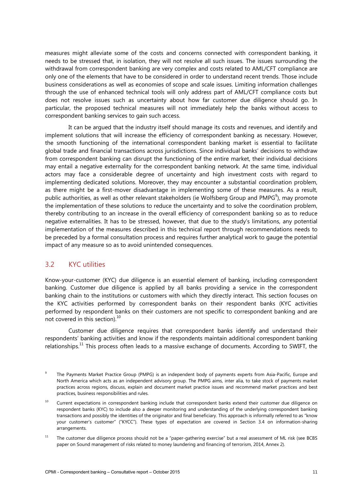measures might alleviate some of the costs and concerns connected with correspondent banking, it needs to be stressed that, in isolation, they will not resolve all such issues. The issues surrounding the withdrawal from correspondent banking are very complex and costs related to AML/CFT compliance are only one of the elements that have to be considered in order to understand recent trends. Those include business considerations as well as economies of scope and scale issues. Limiting information challenges through the use of enhanced technical tools will only address part of AML/CFT compliance costs but does not resolve issues such as uncertainty about how far customer due diligence should go. In particular, the proposed technical measures will not immediately help the banks without access to correspondent banking services to gain such access.

It can be argued that the industry itself should manage its costs and revenues, and identify and implement solutions that will increase the efficiency of correspondent banking as necessary. However, the smooth functioning of the international correspondent banking market is essential to facilitate global trade and financial transactions across jurisdictions. Since individual banks' decisions to withdraw from correspondent banking can disrupt the functioning of the entire market, their individual decisions may entail a negative externality for the correspondent banking network. At the same time, individual actors may face a considerable degree of uncertainty and high investment costs with regard to implementing dedicated solutions. Moreover, they may encounter a substantial coordination problem, as there might be a first-mover disadvantage in implementing some of these measures. As a result, public authorities, as well as other relevant stakeholders (ie Wolfsberg Group and PMPG $^9$ ), may promote the implementation of these solutions to reduce the uncertainty and to solve the coordination problem, thereby contributing to an increase in the overall efficiency of correspondent banking so as to reduce negative externalities. It has to be stressed, however, that due to the study's limitations, any potential implementation of the measures described in this technical report through recommendations needs to be preceded by a formal consultation process and requires further analytical work to gauge the potential impact of any measure so as to avoid unintended consequences.

# <span id="page-14-0"></span>3.2 KYC utilities

Know-your-customer (KYC) due diligence is an essential element of banking, including correspondent banking. Customer due diligence is applied by all banks providing a service in the correspondent banking chain to the institutions or customers with which they directly interact. This section focuses on the KYC activities performed by correspondent banks on their respondent banks (KYC activities performed by respondent banks on their customers are not specific to correspondent banking and are not covered in this section). $^{10}$ 

Customer due diligence requires that correspondent banks identify and understand their respondents' banking activities and know if the respondents maintain additional correspondent banking relationships.<sup>11</sup> This process often leads to a massive exchange of documents. According to SWIFT, the

The Payments Market Practice Group (PMPG) is an independent body of payments experts from Asia-Pacific, Europe and North America which acts as an independent advisory group. The PMPG aims, inter alia, to take stock of payments market practices across regions, discuss, explain and document market practice issues and recommend market practices and best practices, business responsibilities and rules.

<sup>&</sup>lt;sup>10</sup> Current expectations in correspondent banking include that correspondent banks extend their customer due diligence on respondent banks (KYC) to include also a deeper monitoring and understanding of the underlying correspondent banking transactions and possibly the identities of the originator and final beneficiary. This approach is informally referred to as "know your customer's customer" ("KYCC"). These types of expectation are covered in Section 3.4 on information-sharing arrangements.

<sup>&</sup>lt;sup>11</sup> The customer due diligence process should not be a "paper-gathering exercise" but a real assessment of ML risk (see BCBS paper on Sound management of risks related to money laundering and financing of terrorism, 2014, Annex 2).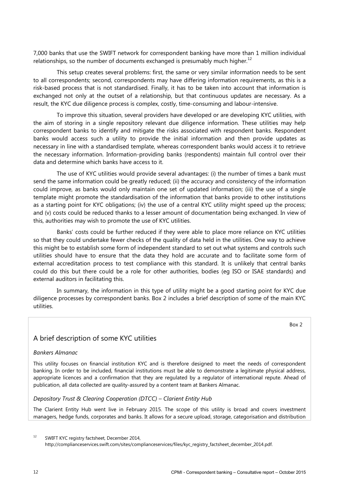7,000 banks that use the SWIFT network for correspondent banking have more than 1 million individual relationships, so the number of documents exchanged is presumably much higher.<sup>12</sup>

This setup creates several problems: first, the same or very similar information needs to be sent to all correspondents; second, correspondents may have differing information requirements, as this is a risk-based process that is not standardised. Finally, it has to be taken into account that information is exchanged not only at the outset of a relationship, but that continuous updates are necessary. As a result, the KYC due diligence process is complex, costly, time-consuming and labour-intensive.

To improve this situation, several providers have developed or are developing KYC utilities, with the aim of storing in a single repository relevant due diligence information. These utilities may help correspondent banks to identify and mitigate the risks associated with respondent banks. Respondent banks would access such a utility to provide the initial information and then provide updates as necessary in line with a standardised template, whereas correspondent banks would access it to retrieve the necessary information. Information-providing banks (respondents) maintain full control over their data and determine which banks have access to it.

The use of KYC utilities would provide several advantages: (i) the number of times a bank must send the same information could be greatly reduced; (ii) the accuracy and consistency of the information could improve, as banks would only maintain one set of updated information; (iii) the use of a single template might promote the standardisation of the information that banks provide to other institutions as a starting point for KYC obligations; (iv) the use of a central KYC utility might speed up the process; and (v) costs could be reduced thanks to a lesser amount of documentation being exchanged. In view of this, authorities may wish to promote the use of KYC utilities.

Banks' costs could be further reduced if they were able to place more reliance on KYC utilities so that they could undertake fewer checks of the quality of data held in the utilities. One way to achieve this might be to establish some form of independent standard to set out what systems and controls such utilities should have to ensure that the data they hold are accurate and to facilitate some form of external accreditation process to test compliance with this standard. It is unlikely that central banks could do this but there could be a role for other authorities, bodies (eg ISO or ISAE standards) and external auditors in facilitating this.

In summary, the information in this type of utility might be a good starting point for KYC due diligence processes by correspondent banks. Box 2 includes a brief description of some of the main KYC utilities.

# A brief description of some KYC utilities

#### *Bankers Almanac*

This utility focuses on financial institution KYC and is therefore designed to meet the needs of correspondent banking. In order to be included, financial institutions must be able to demonstrate a legitimate physical address, appropriate licences and a confirmation that they are regulated by a regulator of international repute. Ahead of publication, all data collected are quality-assured by a content team at Bankers Almanac.

#### *Depository Trust & Clearing Cooperation (DTCC) – Clarient Entity Hub*

The Clarient Entity Hub went live in February 2015. The scope of this utility is broad and covers investment managers, hedge funds, corporates and banks. It allows for a secure upload, storage, categorisation and distribution

<sup>12</sup> SWIFT KYC registry factsheet, December 2014, http://complianceservices.swift.com/sites/complianceservices/files/kyc\_registry\_factsheet\_december\_2014.pdf.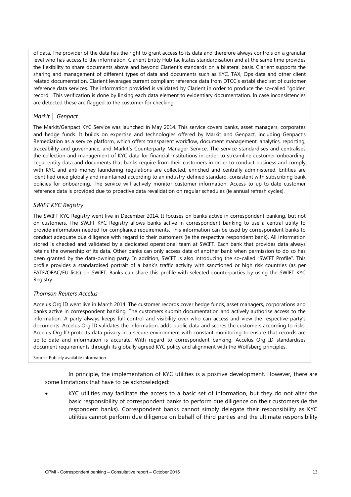of data. The provider of the data has the right to grant access to its data and therefore always controls on a granular level who has access to the information. Clarient Entity Hub facilitates standardisation and at the same time provides the flexibility to share documents above and beyond Clarient's standards on a bilateral basis. Clarient supports the sharing and management of different types of data and documents such as KYC, TAX, Ops data and other client related documentation. Clarient leverages current compliant reference data from DTCC's established set of customer reference data services. The information provided is validated by Clarient in order to produce the so-called "golden record". This verification is done by linking each data element to evidentiary documentation. In case inconsistencies are detected these are flagged to the customer for checking.

#### *Markit │ Genpact*

The Markit/Genpact KYC Service was launched in May 2014. This service covers banks, asset managers, corporates and hedge funds. It builds on expertise and technologies offered by Markit and Genpact, including Genpact's Remediation as a service platform, which offers transparent workflow, document management, analytics, reporting, traceability and governance, and Markit's Counterparty Manager Service. The service standardises and centralises the collection and management of KYC data for financial institutions in order to streamline customer onboarding. Legal entity data and documents that banks require from their customers in order to conduct business and comply with KYC and anti-money laundering regulations are collected, enriched and centrally administered. Entities are identified once globally and maintained according to an industry-defined standard, consistent with subscribing bank policies for onboarding. The service will actively monitor customer information. Access to up-to-date customer reference data is provided due to proactive data revalidation on regular schedules (ie annual refresh cycles).

#### *SWIFT KYC Registry*

The SWIFT KYC Registry went live in December 2014. It focuses on banks active in correspondent banking, but not on customers. The SWIFT KYC Registry allows banks active in correspondent banking to use a central utility to provide information needed for compliance requirements. This information can be used by correspondent banks to conduct adequate due diligence with regard to their customers (ie the respective respondent bank). All information stored is checked and validated by a dedicated operational team at SWIFT. Each bank that provides data always retains the ownership of its data. Other banks can only access data of another bank when permission to do so has been granted by the data-owning party. In addition, SWIFT is also introducing the so-called "SWIFT Profile". This profile provides a standardised portrait of a bank's traffic activity with sanctioned or high risk countries (as per FATF/OFAC/EU lists) on SWIFT. Banks can share this profile with selected counterparties by using the SWIFT KYC Registry.

#### *Thomson Reuters Accelus*

Accelus Org ID went live in March 2014. The customer records cover hedge funds, asset managers, corporations and banks active in correspondent banking. The customers submit documentation and actively authorise access to the information. A party always keeps full control and visibility over who can access and view the respective party's documents. Accelus Org ID validates the information, adds public data and scores the customers according to risks. Accelus Org ID protects data privacy in a secure environment with constant monitoring to ensure that records are up-to-date and information is accurate. With regard to correspondent banking, Accelus Org ID standardises document requirements through its globally agreed KYC policy and alignment with the Wolfsberg principles.

Source: Publicly available information.

In principle, the implementation of KYC utilities is a positive development. However, there are some limitations that have to be acknowledged:

• KYC utilities may facilitate the access to a basic set of information, but they do not alter the basic responsibility of correspondent banks to perform due diligence on their customers (ie the respondent banks). Correspondent banks cannot simply delegate their responsibility as KYC utilities cannot perform due diligence on behalf of third parties and the ultimate responsibility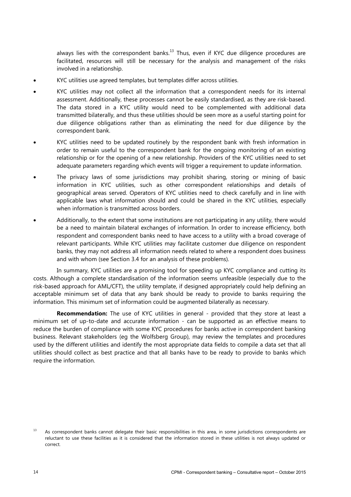always lies with the correspondent banks. $^{13}$  Thus, even if KYC due diligence procedures are facilitated, resources will still be necessary for the analysis and management of the risks involved in a relationship.

- KYC utilities use agreed templates, but templates differ across utilities.
- KYC utilities may not collect all the information that a correspondent needs for its internal assessment. Additionally, these processes cannot be easily standardised, as they are risk-based. The data stored in a KYC utility would need to be complemented with additional data transmitted bilaterally, and thus these utilities should be seen more as a useful starting point for due diligence obligations rather than as eliminating the need for due diligence by the correspondent bank.
- KYC utilities need to be updated routinely by the respondent bank with fresh information in order to remain useful to the correspondent bank for the ongoing monitoring of an existing relationship or for the opening of a new relationship. Providers of the KYC utilities need to set adequate parameters regarding which events will trigger a requirement to update information.
- The privacy laws of some jurisdictions may prohibit sharing, storing or mining of basic information in KYC utilities, such as other correspondent relationships and details of geographical areas served. Operators of KYC utilities need to check carefully and in line with applicable laws what information should and could be shared in the KYC utilities, especially when information is transmitted across borders.
- Additionally, to the extent that some institutions are not participating in any utility, there would be a need to maintain bilateral exchanges of information. In order to increase efficiency, both respondent and correspondent banks need to have access to a utility with a broad coverage of relevant participants. While KYC utilities may facilitate customer due diligence on respondent banks, they may not address all information needs related to where a respondent does business and with whom (see Section 3.4 for an analysis of these problems).

In summary, KYC utilities are a promising tool for speeding up KYC compliance and cutting its costs. Although a complete standardisation of the information seems unfeasible (especially due to the risk-based approach for AML/CFT), the utility template, if designed appropriately could help defining an acceptable minimum set of data that any bank should be ready to provide to banks requiring the information. This minimum set of information could be augmented bilaterally as necessary.

**Recommendation:** The use of KYC utilities in general - provided that they store at least a minimum set of up-to-date and accurate information - can be supported as an effective means to reduce the burden of compliance with some KYC procedures for banks active in correspondent banking business. Relevant stakeholders (eg the Wolfsberg Group), may review the templates and procedures used by the different utilities and identify the most appropriate data fields to compile a data set that all utilities should collect as best practice and that all banks have to be ready to provide to banks which require the information.

<sup>&</sup>lt;sup>13</sup> As correspondent banks cannot delegate their basic responsibilities in this area, in some jurisdictions correspondents are reluctant to use these facilities as it is considered that the information stored in these utilities is not always updated or correct.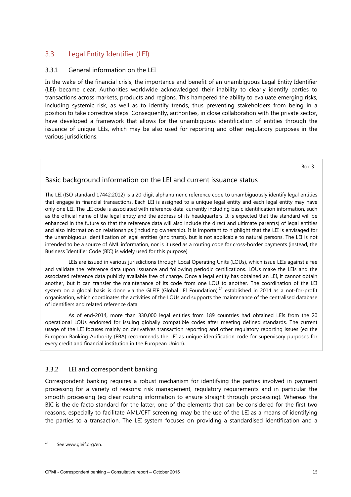# <span id="page-18-0"></span>3.3 Legal Entity Identifier (LEI)

#### <span id="page-18-1"></span>3.3.1 General information on the LEI

In the wake of the financial crisis, the importance and benefit of an unambiguous Legal Entity Identifier (LEI) became clear. Authorities worldwide acknowledged their inability to clearly identify parties to transactions across markets, products and regions. This hampered the ability to evaluate emerging risks, including systemic risk, as well as to identify trends, thus preventing stakeholders from being in a position to take corrective steps. Consequently, authorities, in close collaboration with the private sector, have developed a framework that allows for the unambiguous identification of entities through the issuance of unique LEIs, which may be also used for reporting and other regulatory purposes in the various jurisdictions.

Box 3

## Basic background information on the LEI and current issuance status

The LEI (ISO standard 17442:2012) is a 20-digit alphanumeric reference code to unambiguously identify legal entities that engage in financial transactions. Each LEI is assigned to a unique legal entity and each legal entity may have only one LEI. The LEI code is associated with reference data, currently including basic identification information, such as the official name of the legal entity and the address of its headquarters. It is expected that the standard will be enhanced in the future so that the reference data will also include the direct and ultimate parent(s) of legal entities and also information on relationships (including ownership). It is important to highlight that the LEI is envisaged for the unambiguous identification of legal entities (and trusts), but is not applicable to natural persons. The LEI is not intended to be a source of AML information, nor is it used as a routing code for cross-border payments (instead, the Business Identifier Code (BIC) is widely used for this purpose).

LEIs are issued in various jurisdictions through Local Operating Units (LOUs), which issue LEIs against a fee and validate the reference data upon issuance and following periodic certifications. LOUs make the LEIs and the associated reference data publicly available free of charge. Once a legal entity has obtained an LEI, it cannot obtain another, but it can transfer the maintenance of its code from one LOU to another. The coordination of the LEI system on a global basis is done via the GLEIF (Global LEI Foundation).<sup>14</sup> established in 2014 as a not-for-profit organisation, which coordinates the activities of the LOUs and supports the maintenance of the centralised database of identifiers and related reference data.

As of end-2014, more than 330,000 legal entities from 189 countries had obtained LEIs from the 20 operational LOUs endorsed for issuing globally compatible codes after meeting defined standards. The current usage of the LEI focuses mainly on derivatives transaction reporting and other regulatory reporting issues (eg the European Banking Authority (EBA) recommends the LEI as unique identification code for supervisory purposes for every credit and financial institution in the European Union).

## <span id="page-18-2"></span>3.3.2 LEI and correspondent banking

Correspondent banking requires a robust mechanism for identifying the parties involved in payment processing for a variety of reasons: risk management, regulatory requirements and in particular the smooth processing (eg clear routing information to ensure straight through processing). Whereas the BIC is the de facto standard for the latter, one of the elements that can be considered for the first two reasons, especially to facilitate AML/CFT screening, may be the use of the LEI as a means of identifying the parties to a transaction. The LEI system focuses on providing a standardised identification and a

See www.gleif.org/en.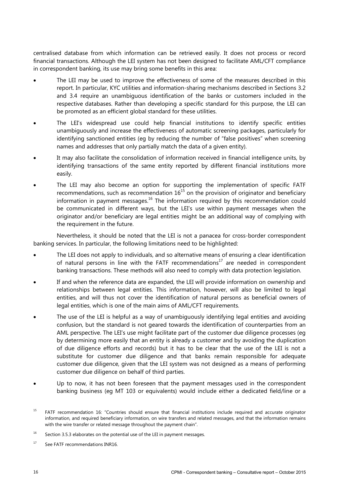centralised database from which information can be retrieved easily. It does not process or record financial transactions. Although the LEI system has not been designed to facilitate AML/CFT compliance in correspondent banking, its use may bring some benefits in this area:

- The LEI may be used to improve the effectiveness of some of the measures described in this report. In particular, KYC utilities and information-sharing mechanisms described in Sections 3.2 and 3.4 require an unambiguous identification of the banks or customers included in the respective databases. Rather than developing a specific standard for this purpose, the LEI can be promoted as an efficient global standard for these utilities.
- The LEI's widespread use could help financial institutions to identify specific entities unambiguously and increase the effectiveness of automatic screening packages, particularly for identifying sanctioned entities (eg by reducing the number of "false positives" when screening names and addresses that only partially match the data of a given entity).
- It may also facilitate the consolidation of information received in financial intelligence units, by identifying transactions of the same entity reported by different financial institutions more easily.
- The LEI may also become an option for supporting the implementation of specific FATF recommendations, such as recommendation  $16^{15}$  on the provision of originator and beneficiary information in payment messages.<sup>16</sup> The information required by this recommendation could be communicated in different ways, but the LEI's use within payment messages when the originator and/or beneficiary are legal entities might be an additional way of complying with the requirement in the future.

Nevertheless, it should be noted that the LEI is not a panacea for cross-border correspondent banking services. In particular, the following limitations need to be highlighted:

- The LEI does not apply to individuals, and so alternative means of ensuring a clear identification of natural persons in line with the FATF recommendations<sup>17</sup> are needed in correspondent banking transactions. These methods will also need to comply with data protection legislation.
- If and when the reference data are expanded, the LEI will provide information on ownership and relationships between legal entities. This information, however, will also be limited to legal entities, and will thus not cover the identification of natural persons as beneficial owners of legal entities, which is one of the main aims of AML/CFT requirements.
- The use of the LEI is helpful as a way of unambiguously identifying legal entities and avoiding confusion, but the standard is not geared towards the identification of counterparties from an AML perspective. The LEI's use might facilitate part of the customer due diligence processes (eg by determining more easily that an entity is already a customer and by avoiding the duplication of due diligence efforts and records) but it has to be clear that the use of the LEI is not a substitute for customer due diligence and that banks remain responsible for adequate customer due diligence, given that the LEI system was not designed as a means of performing customer due diligence on behalf of third parties.
- Up to now, it has not been foreseen that the payment messages used in the correspondent banking business (eg MT 103 or equivalents) would include either a dedicated field/line or a

<sup>&</sup>lt;sup>15</sup> FATF recommendation 16: "Countries should ensure that financial institutions include required and accurate originator information, and required beneficiary information, on wire transfers and related messages, and that the information remains with the wire transfer or related message throughout the payment chain".

 $16$  Section 3.5.3 elaborates on the potential use of the LEI in payment messages.

<sup>&</sup>lt;sup>17</sup> See FATF recommendations INR16.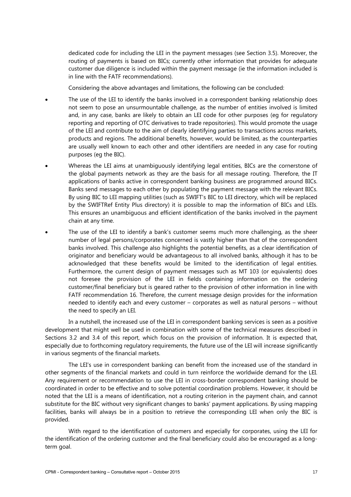dedicated code for including the LEI in the payment messages (see Section 3.5). Moreover, the routing of payments is based on BICs; currently other information that provides for adequate customer due diligence is included within the payment message (ie the information included is in line with the FATF recommendations).

Considering the above advantages and limitations, the following can be concluded:

- The use of the LEI to identify the banks involved in a correspondent banking relationship does not seem to pose an unsurmountable challenge, as the number of entities involved is limited and, in any case, banks are likely to obtain an LEI code for other purposes (eg for regulatory reporting and reporting of OTC derivatives to trade repositories). This would promote the usage of the LEI and contribute to the aim of clearly identifying parties to transactions across markets, products and regions. The additional benefits, however, would be limited, as the counterparties are usually well known to each other and other identifiers are needed in any case for routing purposes (eg the BIC).
- Whereas the LEI aims at unambiguously identifying legal entities, BICs are the cornerstone of the global payments network as they are the basis for all message routing. Therefore, the IT applications of banks active in correspondent banking business are programmed around BICs. Banks send messages to each other by populating the payment message with the relevant BICs. By using BIC to LEI mapping utilities (such as SWIFT's BIC to LEI directory, which will be replaced by the SWIFTRef Entity Plus directory) it is possible to map the information of BICs and LEIs. This ensures an unambiguous and efficient identification of the banks involved in the payment chain at any time.
- The use of the LEI to identify a bank's customer seems much more challenging, as the sheer number of legal persons/corporates concerned is vastly higher than that of the correspondent banks involved. This challenge also highlights the potential benefits, as a clear identification of originator and beneficiary would be advantageous to all involved banks, although it has to be acknowledged that these benefits would be limited to the identification of legal entities. Furthermore, the current design of payment messages such as MT 103 (or equivalents) does not foresee the provision of the LEI in fields containing information on the ordering customer/final beneficiary but is geared rather to the provision of other information in line with FATF recommendation 16. Therefore, the current message design provides for the information needed to identify each and every customer – corporates as well as natural persons – without the need to specify an LEI.

In a nutshell, the increased use of the LEI in correspondent banking services is seen as a positive development that might well be used in combination with some of the technical measures described in Sections 3.2 and 3.4 of this report, which focus on the provision of information. It is expected that, especially due to forthcoming regulatory requirements, the future use of the LEI will increase significantly in various segments of the financial markets.

The LEI's use in correspondent banking can benefit from the increased use of the standard in other segments of the financial markets and could in turn reinforce the worldwide demand for the LEI. Any requirement or recommendation to use the LEI in cross-border correspondent banking should be coordinated in order to be effective and to solve potential coordination problems. However, it should be noted that the LEI is a means of identification, not a routing criterion in the payment chain, and cannot substitute for the BIC without very significant changes to banks' payment applications. By using mapping facilities, banks will always be in a position to retrieve the corresponding LEI when only the BIC is provided.

With regard to the identification of customers and especially for corporates, using the LEI for the identification of the ordering customer and the final beneficiary could also be encouraged as a longterm goal.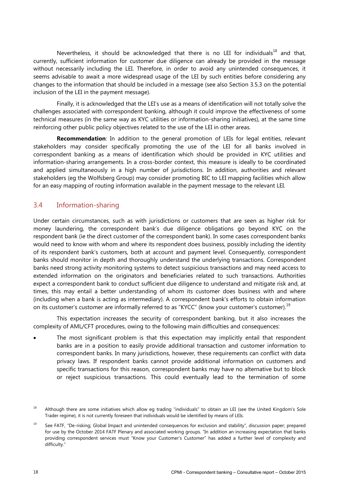Nevertheless, it should be acknowledged that there is no LEI for individuals<sup>18</sup> and that, currently, sufficient information for customer due diligence can already be provided in the message without necessarily including the LEI. Therefore, in order to avoid any unintended consequences, it seems advisable to await a more widespread usage of the LEI by such entities before considering any changes to the information that should be included in a message (see also Section 3.5.3 on the potential inclusion of the LEI in the payment message).

Finally, it is acknowledged that the LEI's use as a means of identification will not totally solve the challenges associated with correspondent banking, although it could improve the effectiveness of some technical measures (in the same way as KYC utilities or information-sharing initiatives), at the same time reinforcing other public policy objectives related to the use of the LEI in other areas.

**Recommendation**: In addition to the general promotion of LEIs for legal entities, relevant stakeholders may consider specifically promoting the use of the LEI for all banks involved in correspondent banking as a means of identification which should be provided in KYC utilities and information-sharing arrangements. In a cross-border context, this measure is ideally to be coordinated and applied simultaneously in a high number of jurisdictions. In addition, authorities and relevant stakeholders (eg the Wolfsberg Group) may consider promoting BIC to LEI mapping facilities which allow for an easy mapping of routing information available in the payment message to the relevant LEI.

# <span id="page-21-0"></span>3.4 Information-sharing

Under certain circumstances, such as with jurisdictions or customers that are seen as higher risk for money laundering, the correspondent bank's due diligence obligations go beyond KYC on the respondent bank (ie the direct customer of the correspondent bank). In some cases correspondent banks would need to know with whom and where its respondent does business, possibly including the identity of its respondent bank's customers, both at account and payment level. Consequently, correspondent banks should monitor in depth and thoroughly understand the underlying transactions. Correspondent banks need strong activity monitoring systems to detect suspicious transactions and may need access to extended information on the originators and beneficiaries related to such transactions. Authorities expect a correspondent bank to conduct sufficient due diligence to understand and mitigate risk and, at times, this may entail a better understanding of whom its customer does business with and where (including when a bank is acting as intermediary). A correspondent bank's efforts to obtain information on its customer's customer are informally referred to as "KYCC" (know your customer's customer).<sup>19</sup>

This expectation increases the security of correspondent banking, but it also increases the complexity of AML/CFT procedures, owing to the following main difficulties and consequences:

The most significant problem is that this expectation may implicitly entail that respondent banks are in a position to easily provide additional transaction and customer information to correspondent banks. In many jurisdictions, however, these requirements can conflict with data privacy laws. If respondent banks cannot provide additional information on customers and specific transactions for this reason, correspondent banks may have no alternative but to block or reject suspicious transactions. This could eventually lead to the termination of some

<sup>&</sup>lt;sup>18</sup> Although there are some initiatives which allow eg trading "individuals" to obtain an LEI (see the United Kingdom's Sole Trader regime), it is not currently foreseen that individuals would be identified by means of LEIs.

<sup>&</sup>lt;sup>19</sup> See FATF, "De-risking; Global Impact and unintended consequences for exclusion and stability", discussion paper; prepared for use by the October 2014 FATF Plenary and associated working groups. "In addition an increasing expectation that banks providing correspondent services must "Know your Customer's Customer" has added a further level of complexity and difficulty."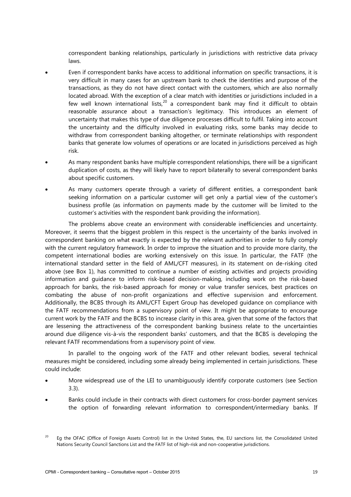correspondent banking relationships, particularly in jurisdictions with restrictive data privacy laws.

- Even if correspondent banks have access to additional information on specific transactions, it is very difficult in many cases for an upstream bank to check the identities and purpose of the transactions, as they do not have direct contact with the customers, which are also normally located abroad. With the exception of a clear match with identities or jurisdictions included in a few well known international lists, $20$  a correspondent bank may find it difficult to obtain reasonable assurance about a transaction's legitimacy. This introduces an element of uncertainty that makes this type of due diligence processes difficult to fulfil. Taking into account the uncertainty and the difficulty involved in evaluating risks, some banks may decide to withdraw from correspondent banking altogether, or terminate relationships with respondent banks that generate low volumes of operations or are located in jurisdictions perceived as high risk.
- As many respondent banks have multiple correspondent relationships, there will be a significant duplication of costs, as they will likely have to report bilaterally to several correspondent banks about specific customers.
- As many customers operate through a variety of different entities, a correspondent bank seeking information on a particular customer will get only a partial view of the customer's business profile (as information on payments made by the customer will be limited to the customer's activities with the respondent bank providing the information).

The problems above create an environment with considerable inefficiencies and uncertainty. Moreover, it seems that the biggest problem in this respect is the uncertainty of the banks involved in correspondent banking on what exactly is expected by the relevant authorities in order to fully comply with the current regulatory framework. In order to improve the situation and to provide more clarity, the competent international bodies are working extensively on this issue. In particular, the FATF (the international standard setter in the field of AML/CFT measures), in its statement on de-risking cited above (see Box 1), has committed to continue a number of existing activities and projects providing information and guidance to inform risk-based decision-making, including work on the risk-based approach for banks, the risk-based approach for money or value transfer services, best practices on combating the abuse of non-profit organizations and effective supervision and enforcement. Additionally, the BCBS through its AML/CFT Expert Group has developed guidance on compliance with the FATF recommendations from a supervisory point of view. It might be appropriate to encourage current work by the FATF and the BCBS to increase clarity in this area, given that some of the factors that are lessening the attractiveness of the correspondent banking business relate to the uncertainties around due diligence vis-à-vis the respondent banks' customers, and that the BCBS is developing the relevant FATF recommendations from a supervisory point of view.

In parallel to the ongoing work of the FATF and other relevant bodies, several technical measures might be considered, including some already being implemented in certain jurisdictions. These could include:

- More widespread use of the LEI to unambiguously identify corporate customers (see Section 3.3).
- Banks could include in their contracts with direct customers for cross-border payment services the option of forwarding relevant information to correspondent/intermediary banks. If

<sup>&</sup>lt;sup>20</sup> Eg the OFAC (Office of Foreign Assets Control) list in the United States, the, EU sanctions list, the Consolidated United Nations Security Council Sanctions List and the FATF list of high-risk and non-cooperative jurisdictions.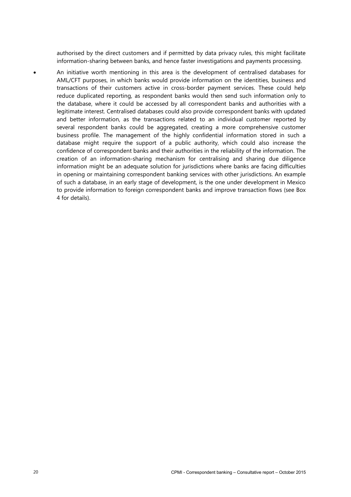authorised by the direct customers and if permitted by data privacy rules, this might facilitate information-sharing between banks, and hence faster investigations and payments processing.

• An initiative worth mentioning in this area is the development of centralised databases for AML/CFT purposes, in which banks would provide information on the identities, business and transactions of their customers active in cross-border payment services. These could help reduce duplicated reporting, as respondent banks would then send such information only to the database, where it could be accessed by all correspondent banks and authorities with a legitimate interest. Centralised databases could also provide correspondent banks with updated and better information, as the transactions related to an individual customer reported by several respondent banks could be aggregated, creating a more comprehensive customer business profile. The management of the highly confidential information stored in such a database might require the support of a public authority, which could also increase the confidence of correspondent banks and their authorities in the reliability of the information. The creation of an information-sharing mechanism for centralising and sharing due diligence information might be an adequate solution for jurisdictions where banks are facing difficulties in opening or maintaining correspondent banking services with other jurisdictions. An example of such a database, in an early stage of development, is the one under development in Mexico to provide information to foreign correspondent banks and improve transaction flows (see Box 4 for details).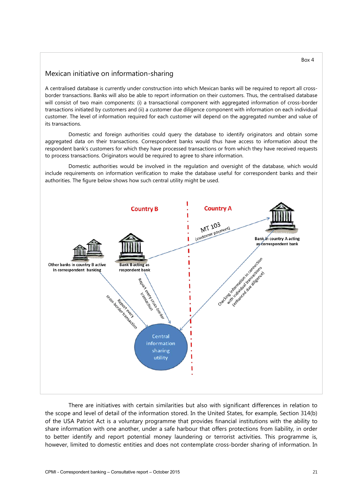# Mexican initiative on information-sharing

A centralised database is currently under construction into which Mexican banks will be required to report all crossborder transactions. Banks will also be able to report information on their customers. Thus, the centralised database will consist of two main components: (i) a transactional component with aggregated information of cross-border transactions initiated by customers and (ii) a customer due diligence component with information on each individual customer. The level of information required for each customer will depend on the aggregated number and value of its transactions.

Domestic and foreign authorities could query the database to identify originators and obtain some aggregated data on their transactions. Correspondent banks would thus have access to information about the respondent bank's customers for which they have processed transactions or from which they have received requests to process transactions. Originators would be required to agree to share information.

Domestic authorities would be involved in the regulation and oversight of the database, which would include requirements on information verification to make the database useful for correspondent banks and their authorities. The figure below shows how such central utility might be used.



There are initiatives with certain similarities but also with significant differences in relation to the scope and level of detail of the information stored. In the United States, for example, Section 314(b) of the USA Patriot Act is a voluntary programme that provides financial institutions with the ability to share information with one another, under a safe harbour that offers protections from liability, in order to better identify and report potential money laundering or terrorist activities. This programme is, however, limited to domestic entities and does not contemplate cross-border sharing of information. In

#### Box 4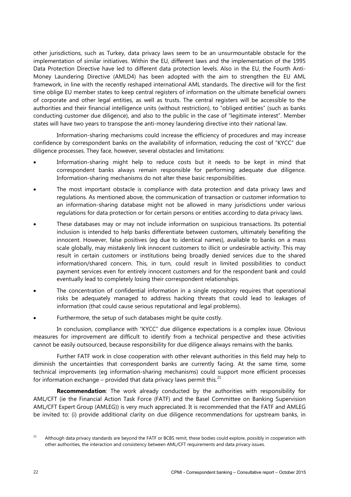other jurisdictions, such as Turkey, data privacy laws seem to be an unsurmountable obstacle for the implementation of similar initiatives. Within the EU, different laws and the implementation of the 1995 Data Protection Directive have led to different data protection levels. Also in the EU, the Fourth Anti-Money Laundering Directive (AMLD4) has been adopted with the aim to strengthen the EU AML framework, in line with the recently reshaped international AML standards. The directive will for the first time oblige EU member states to keep central registers of information on the ultimate beneficial owners of corporate and other legal entities, as well as trusts. The central registers will be accessible to the authorities and their financial intelligence units (without restriction), to "obliged entities" (such as banks conducting customer due diligence), and also to the public in the case of "legitimate interest". Member states will have two years to transpose the anti-money laundering directive into their national law.

Information-sharing mechanisms could increase the efficiency of procedures and may increase confidence by correspondent banks on the availability of information, reducing the cost of "KYCC" due diligence processes. They face, however, several obstacles and limitations:

- Information-sharing might help to reduce costs but it needs to be kept in mind that correspondent banks always remain responsible for performing adequate due diligence. Information-sharing mechanisms do not alter these basic responsibilities.
- The most important obstacle is compliance with data protection and data privacy laws and regulations. As mentioned above, the communication of transaction or customer information to an information-sharing database might not be allowed in many jurisdictions under various regulations for data protection or for certain persons or entities according to data privacy laws.
- These databases may or may not include information on suspicious transactions. Its potential inclusion is intended to help banks differentiate between customers, ultimately benefiting the innocent. However, false positives (eg due to identical names), available to banks on a mass scale globally, may mistakenly link innocent customers to illicit or undesirable activity. This may result in certain customers or institutions being broadly denied services due to the shared information/shared concern. This, in turn, could result in limited possibilities to conduct payment services even for entirely innocent customers and for the respondent bank and could eventually lead to completely losing their correspondent relationships.
- The concentration of confidential information in a single repository requires that operational risks be adequately managed to address hacking threats that could lead to leakages of information (that could cause serious reputational and legal problems).
- Furthermore, the setup of such databases might be quite costly.

In conclusion, compliance with "KYCC" due diligence expectations is a complex issue. Obvious measures for improvement are difficult to identify from a technical perspective and these activities cannot be easily outsourced, because responsibility for due diligence always remains with the banks.

Further FATF work in close cooperation with other relevant authorities in this field may help to diminish the uncertainties that correspondent banks are currently facing. At the same time, some technical improvements (eg information-sharing mechanisms) could support more efficient processes for information exchange – provided that data privacy laws permit this. $^{21}$ 

**Recommendation**: The work already conducted by the authorities with responsibility for AML/CFT (ie the Financial Action Task Force (FATF) and the Basel Committee on Banking Supervision AML/CFT Expert Group (AMLEG)) is very much appreciated. It is recommended that the FATF and AMLEG be invited to: (i) provide additional clarity on due diligence recommendations for upstream banks, in

<sup>&</sup>lt;sup>21</sup> Although data privacy standards are beyond the FATF or BCBS remit, these bodies could explore, possibly in cooperation with other authorities, the interaction and consistency between AML/CFT requirements and data privacy issues.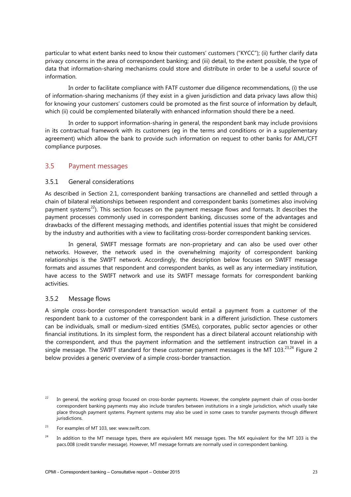particular to what extent banks need to know their customers' customers ("KYCC"); (ii) further clarify data privacy concerns in the area of correspondent banking; and (iii) detail, to the extent possible, the type of data that information-sharing mechanisms could store and distribute in order to be a useful source of information.

In order to facilitate compliance with FATF customer due diligence recommendations, (i) the use of information-sharing mechanisms (if they exist in a given jurisdiction and data privacy laws allow this) for knowing your customers' customers could be promoted as the first source of information by default, which (ii) could be complemented bilaterally with enhanced information should there be a need.

In order to support information-sharing in general, the respondent bank may include provisions in its contractual framework with its customers (eg in the terms and conditions or in a supplementary agreement) which allow the bank to provide such information on request to other banks for AML/CFT compliance purposes.

## <span id="page-26-0"></span>3.5 Payment messages

## <span id="page-26-1"></span>3.5.1 General considerations

As described in Section 2.1, correspondent banking transactions are channelled and settled through a chain of bilateral relationships between respondent and correspondent banks (sometimes also involving payment systems<sup>22</sup>). This section focuses on the payment message flows and formats. It describes the payment processes commonly used in correspondent banking, discusses some of the advantages and drawbacks of the different messaging methods, and identifies potential issues that might be considered by the industry and authorities with a view to facilitating cross-border correspondent banking services.

In general, SWIFT message formats are non-proprietary and can also be used over other networks. However, the network used in the overwhelming majority of correspondent banking relationships is the SWIFT network. Accordingly, the description below focuses on SWIFT message formats and assumes that respondent and correspondent banks, as well as any intermediary institution, have access to the SWIFT network and use its SWIFT message formats for correspondent banking activities.

#### <span id="page-26-2"></span>3.5.2 Message flows

A simple cross-border correspondent transaction would entail a payment from a customer of the respondent bank to a customer of the correspondent bank in a different jurisdiction. These customers can be individuals, small or medium-sized entities (SMEs), corporates, public sector agencies or other financial institutions. In its simplest form, the respondent has a direct bilateral account relationship with the correspondent, and thus the payment information and the settlement instruction can travel in a single message. The SWIFT standard for these customer payment messages is the MT 103.<sup>23,24</sup> Figure 2 below provides a generic overview of a simple cross-border transaction.

In general, the working group focused on cross-border payments. However, the complete payment chain of cross-border correspondent banking payments may also include transfers between institutions in a single jurisdiction, which usually take place through payment systems. Payment systems may also be used in some cases to transfer payments through different jurisdictions.

 $23$  For examples of MT 103, see: www.swift.com.

<sup>&</sup>lt;sup>24</sup> In addition to the MT message types, there are equivalent MX message types. The MX equivalent for the MT 103 is the pacs.008 (credit transfer message). However, MT message formats are normally used in correspondent banking.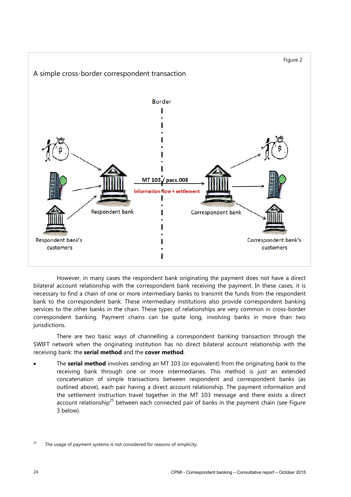

However, in many cases the respondent bank originating the payment does not have a direct bilateral account relationship with the correspondent bank receiving the payment. In these cases, it is necessary to find a chain of one or more intermediary banks to transmit the funds from the respondent bank to the correspondent bank. These intermediary institutions also provide correspondent banking services to the other banks in the chain. These types of relationships are very common in cross-border correspondent banking. Payment chains can be quite long, involving banks in more than two jurisdictions.

There are two basic ways of channelling a correspondent banking transaction through the SWIFT network when the originating institution has no direct bilateral account relationship with the receiving bank: the **serial method** and the **cover method**.

• The **serial method** involves sending an MT 103 (or equivalent) from the originating bank to the receiving bank through one or more intermediaries. This method is just an extended concatenation of simple transactions between respondent and correspondent banks (as outlined above), each pair having a direct account relationship. The payment information and the settlement instruction travel together in the MT 103 message and there exists a direct account relationship<sup>25</sup> between each connected pair of banks in the payment chain (see Figure 3 below).

<sup>&</sup>lt;sup>25</sup> The usage of payment systems is not considered for reasons of simplicity.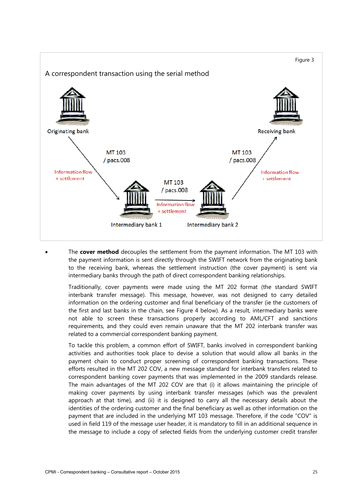

• The **cover method** decouples the settlement from the payment information. The MT 103 with the payment information is sent directly through the SWIFT network from the originating bank to the receiving bank, whereas the settlement instruction (the cover payment) is sent via intermediary banks through the path of direct correspondent banking relationships.

Traditionally, cover payments were made using the MT 202 format (the standard SWIFT interbank transfer message). This message, however, was not designed to carry detailed information on the ordering customer and final beneficiary of the transfer (ie the customers of the first and last banks in the chain, see Figure 4 below). As a result, intermediary banks were not able to screen these transactions properly according to AML/CFT and sanctions requirements, and they could even remain unaware that the MT 202 interbank transfer was related to a commercial correspondent banking payment.

To tackle this problem, a common effort of SWIFT, banks involved in correspondent banking activities and authorities took place to devise a solution that would allow all banks in the payment chain to conduct proper screening of correspondent banking transactions. These efforts resulted in the MT 202 COV, a new message standard for interbank transfers related to correspondent banking cover payments that was implemented in the 2009 standards release. The main advantages of the MT 202 COV are that (i) it allows maintaining the principle of making cover payments by using interbank transfer messages (which was the prevalent approach at that time), and (ii) it is designed to carry all the necessary details about the identities of the ordering customer and the final beneficiary as well as other information on the payment that are included in the underlying MT 103 message. Therefore, if the code "COV" is used in field 119 of the message user header, it is mandatory to fill in an additional sequence in the message to include a copy of selected fields from the underlying customer credit transfer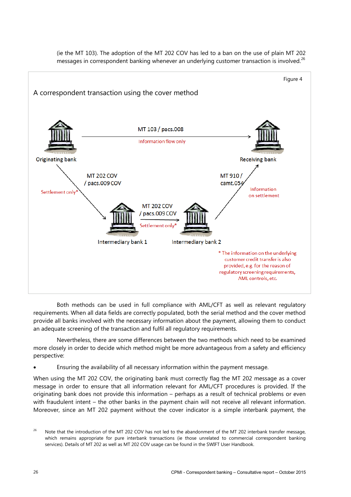

(ie the MT 103). The adoption of the MT 202 COV has led to a ban on the use of plain MT 202 messages in correspondent banking whenever an underlying customer transaction is involved.<sup>26</sup>

Both methods can be used in full compliance with AML/CFT as well as relevant regulatory requirements. When all data fields are correctly populated, both the serial method and the cover method provide all banks involved with the necessary information about the payment, allowing them to conduct an adequate screening of the transaction and fulfil all regulatory requirements.

Nevertheless, there are some differences between the two methods which need to be examined more closely in order to decide which method might be more advantageous from a safety and efficiency perspective:

• Ensuring the availability of all necessary information within the payment message.

When using the MT 202 COV, the originating bank must correctly flag the MT 202 message as a cover message in order to ensure that all information relevant for AML/CFT procedures is provided. If the originating bank does not provide this information – perhaps as a result of technical problems or even with fraudulent intent – the other banks in the payment chain will not receive all relevant information. Moreover, since an MT 202 payment without the cover indicator is a simple interbank payment, the

<sup>&</sup>lt;sup>26</sup> Note that the introduction of the MT 202 COV has not led to the abandonment of the MT 202 interbank transfer message, which remains appropriate for pure interbank transactions (ie those unrelated to commercial correspondent banking services). Details of MT 202 as well as MT 202 COV usage can be found in the SWIFT User Handbook.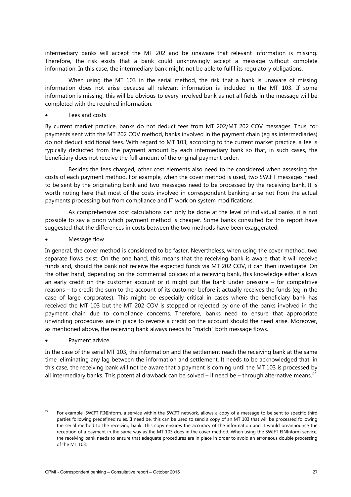intermediary banks will accept the MT 202 and be unaware that relevant information is missing. Therefore, the risk exists that a bank could unknowingly accept a message without complete information. In this case, the intermediary bank might not be able to fulfil its regulatory obligations.

When using the MT 103 in the serial method, the risk that a bank is unaware of missing information does not arise because all relevant information is included in the MT 103. If some information is missing, this will be obvious to every involved bank as not all fields in the message will be completed with the required information.

Fees and costs

By current market practice, banks do not deduct fees from MT 202/MT 202 COV messages. Thus, for payments sent with the MT 202 COV method, banks involved in the payment chain (eg as intermediaries) do not deduct additional fees. With regard to MT 103, according to the current market practice, a fee is typically deducted from the payment amount by each intermediary bank so that, in such cases, the beneficiary does not receive the full amount of the original payment order.

Besides the fees charged, other cost elements also need to be considered when assessing the costs of each payment method. For example, when the cover method is used, two SWIFT messages need to be sent by the originating bank and two messages need to be processed by the receiving bank. It is worth noting here that most of the costs involved in correspondent banking arise not from the actual payments processing but from compliance and IT work on system modifications.

As comprehensive cost calculations can only be done at the level of individual banks, it is not possible to say a priori which payment method is cheaper. Some banks consulted for this report have suggested that the differences in costs between the two methods have been exaggerated.

• Message flow

In general, the cover method is considered to be faster. Nevertheless, when using the cover method, two separate flows exist. On the one hand, this means that the receiving bank is aware that it will receive funds and, should the bank not receive the expected funds via MT 202 COV, it can then investigate. On the other hand, depending on the commercial policies of a receiving bank, this knowledge either allows an early credit on the customer account or it might put the bank under pressure – for competitive reasons – to credit the sum to the account of its customer before it actually receives the funds (eg in the case of large corporates). This might be especially critical in cases where the beneficiary bank has received the MT 103 but the MT 202 COV is stopped or rejected by one of the banks involved in the payment chain due to compliance concerns. Therefore, banks need to ensure that appropriate unwinding procedures are in place to reverse a credit on the account should the need arise. Moreover, as mentioned above, the receiving bank always needs to "match" both message flows.

Payment advice

In the case of the serial MT 103, the information and the settlement reach the receiving bank at the same time, eliminating any lag between the information and settlement. It needs to be acknowledged that, in this case, the receiving bank will not be aware that a payment is coming until the MT 103 is processed by all intermediary banks. This potential drawback can be solved – if need be – through alternative means.<sup>27</sup>

 $27$  For example, SWIFT FINInform, a service within the SWIFT network, allows a copy of a message to be sent to specific third parties following predefined rules. If need be, this can be used to send a copy of an MT 103 that will be processed following the serial method to the receiving bank. This copy ensures the accuracy of the information and it would preannounce the reception of a payment in the same way as the MT 103 does in the cover method. When using the SWIFT FINInform service, the receiving bank needs to ensure that adequate procedures are in place in order to avoid an erroneous double processing of the MT 103.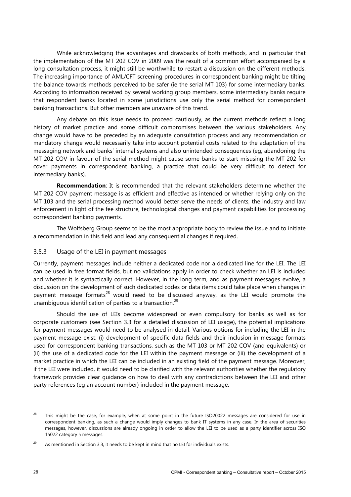While acknowledging the advantages and drawbacks of both methods, and in particular that the implementation of the MT 202 COV in 2009 was the result of a common effort accompanied by a long consultation process, it might still be worthwhile to restart a discussion on the different methods. The increasing importance of AML/CFT screening procedures in correspondent banking might be tilting the balance towards methods perceived to be safer (ie the serial MT 103) for some intermediary banks. According to information received by several working group members, some intermediary banks require that respondent banks located in some jurisdictions use only the serial method for correspondent banking transactions. But other members are unaware of this trend.

Any debate on this issue needs to proceed cautiously, as the current methods reflect a long history of market practice and some difficult compromises between the various stakeholders. Any change would have to be preceded by an adequate consultation process and any recommendation or mandatory change would necessarily take into account potential costs related to the adaptation of the messaging network and banks' internal systems and also unintended consequences (eg, abandoning the MT 202 COV in favour of the serial method might cause some banks to start misusing the MT 202 for cover payments in correspondent banking, a practice that could be very difficult to detect for intermediary banks).

**Recommendation**: It is recommended that the relevant stakeholders determine whether the MT 202 COV payment message is as efficient and effective as intended or whether relying only on the MT 103 and the serial processing method would better serve the needs of clients, the industry and law enforcement in light of the fee structure, technological changes and payment capabilities for processing correspondent banking payments.

The Wolfsberg Group seems to be the most appropriate body to review the issue and to initiate a recommendation in this field and lead any consequential changes if required.

#### <span id="page-31-0"></span>3.5.3 Usage of the LEI in payment messages

Currently, payment messages include neither a dedicated code nor a dedicated line for the LEI. The LEI can be used in free format fields, but no validations apply in order to check whether an LEI is included and whether it is syntactically correct. However, in the long term, and as payment messages evolve, a discussion on the development of such dedicated codes or data items could take place when changes in payment message formats<sup>28</sup> would need to be discussed anyway, as the LEI would promote the unambiguous identification of parties to a transaction.<sup>29</sup>

Should the use of LEIs become widespread or even compulsory for banks as well as for corporate customers (see Section 3.3 for a detailed discussion of LEI usage), the potential implications for payment messages would need to be analysed in detail. Various options for including the LEI in the payment message exist: (i) development of specific data fields and their inclusion in message formats used for correspondent banking transactions, such as the MT 103 or MT 202 COV (and equivalents) or (ii) the use of a dedicated code for the LEI within the payment message or (iii) the development of a market practice in which the LEI can be included in an existing field of the payment message. Moreover, if the LEI were included, it would need to be clarified with the relevant authorities whether the regulatory framework provides clear guidance on how to deal with any contradictions between the LEI and other party references (eg an account number) included in the payment message.

<sup>&</sup>lt;sup>28</sup> This might be the case, for example, when at some point in the future ISO20022 messages are considered for use in correspondent banking, as such a change would imply changes to bank IT systems in any case. In the area of securities messages, however, discussions are already ongoing in order to allow the LEI to be used as a party identifier across ISO 15022 category 5 messages.

<sup>&</sup>lt;sup>29</sup> As mentioned in Section 3.3, it needs to be kept in mind that no LEI for individuals exists.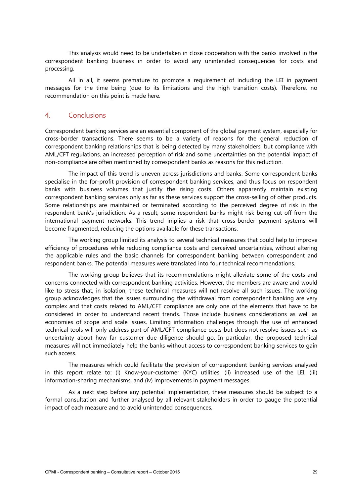This analysis would need to be undertaken in close cooperation with the banks involved in the correspondent banking business in order to avoid any unintended consequences for costs and processing.

All in all, it seems premature to promote a requirement of including the LEI in payment messages for the time being (due to its limitations and the high transition costs). Therefore, no recommendation on this point is made here.

## <span id="page-32-0"></span>4. Conclusions

Correspondent banking services are an essential component of the global payment system, especially for cross-border transactions. There seems to be a variety of reasons for the general reduction of correspondent banking relationships that is being detected by many stakeholders, but compliance with AML/CFT regulations, an increased perception of risk and some uncertainties on the potential impact of non-compliance are often mentioned by correspondent banks as reasons for this reduction.

The impact of this trend is uneven across jurisdictions and banks. Some correspondent banks specialise in the for-profit provision of correspondent banking services, and thus focus on respondent banks with business volumes that justify the rising costs. Others apparently maintain existing correspondent banking services only as far as these services support the cross-selling of other products. Some relationships are maintained or terminated according to the perceived degree of risk in the respondent bank's jurisdiction. As a result, some respondent banks might risk being cut off from the international payment networks. This trend implies a risk that cross-border payment systems will become fragmented, reducing the options available for these transactions.

The working group limited its analysis to several technical measures that could help to improve efficiency of procedures while reducing compliance costs and perceived uncertainties, without altering the applicable rules and the basic channels for correspondent banking between correspondent and respondent banks. The potential measures were translated into four technical recommendations.

The working group believes that its recommendations might alleviate some of the costs and concerns connected with correspondent banking activities. However, the members are aware and would like to stress that, in isolation, these technical measures will not resolve all such issues. The working group acknowledges that the issues surrounding the withdrawal from correspondent banking are very complex and that costs related to AML/CFT compliance are only one of the elements that have to be considered in order to understand recent trends. Those include business considerations as well as economies of scope and scale issues. Limiting information challenges through the use of enhanced technical tools will only address part of AML/CFT compliance costs but does not resolve issues such as uncertainty about how far customer due diligence should go. In particular, the proposed technical measures will not immediately help the banks without access to correspondent banking services to gain such access.

The measures which could facilitate the provision of correspondent banking services analysed in this report relate to: (i) Know-your-customer (KYC) utilities, (ii) increased use of the LEI, (iii) information-sharing mechanisms, and (iv) improvements in payment messages.

As a next step before any potential implementation, these measures should be subject to a formal consultation and further analysed by all relevant stakeholders in order to gauge the potential impact of each measure and to avoid unintended consequences.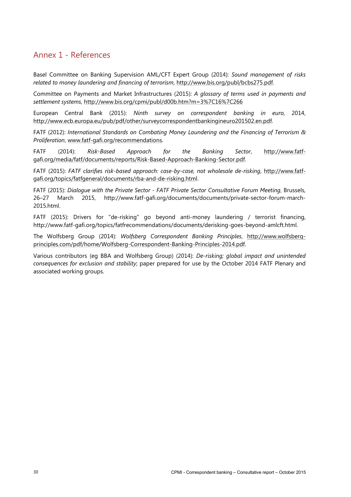# <span id="page-33-0"></span>Annex 1 - References

Basel Committee on Banking Supervision AML/CFT Expert Group (2014): *Sound management of risks related to money laundering and financing of terrorism*, http://www.bis.org/publ/bcbs275.pdf.

Committee on Payments and Market Infrastructures (2015): *A glossary of terms used in payments and settlement systems*, http://www.bis.org/cpmi/publ/d00b.htm?m=3%7C16%7C266

European Central Bank (2015): *Ninth survey on correspondent banking in euro*, 2014, http://www.ecb.europa.eu/pub/pdf/other/surveycorrespondentbankingineuro201502.en.pdf.

FATF (2012): *International Standards on Combating Money Laundering and the Financing of Terrorism & Proliferation*, www.fatf-gafi.org/recommendations.

FATF (2014): *Risk-Based Approach for the Banking Sector*, http://www.fatfgafi.org/media/fatf/documents/reports/Risk-Based-Approach-Banking-Sector.pdf.

FATF (2015): *FATF clarifies risk-based approach: case-by-case, not wholesale de-risking*, http://www.fatfgafi.org/topics/fatfgeneral/documents/rba-and-de-risking.html.

FATF (2015): *Dialogue with the Private Sector - FATF Private Sector Consultative Forum Meeting*, Brussels, 26–27 March 2015, [http://www.fatf-gafi.org/documents/documents/private-sector-forum-march-](http://www.fatf-gafi.org/documents/documents/private-sector-forum-march-2015.html)[2015.html.](http://www.fatf-gafi.org/documents/documents/private-sector-forum-march-2015.html)

FATF (2015): Drivers for "de-risking" go beyond anti-money laundering / terrorist financing, [http://www.fatf-gafi.org/topics/fatfrecommendations/documents/derisking-goes-beyond-amlcft.html.](http://www.fatf-gafi.org/topics/fatfrecommendations/documents/derisking-goes-beyond-amlcft.html)

The Wolfsberg Group (2014): *Wolfsberg Correspondent Banking Principles*, http://www.wolfsbergprinciples.com/pdf/home/Wolfsberg-Correspondent-Banking-Principles-2014.pdf.

Various contributors (eg BBA and Wolfsberg Group) (2014): *De-risking; global impact and unintended consequences for exclusion and stability*; paper prepared for use by the October 2014 FATF Plenary and associated working groups.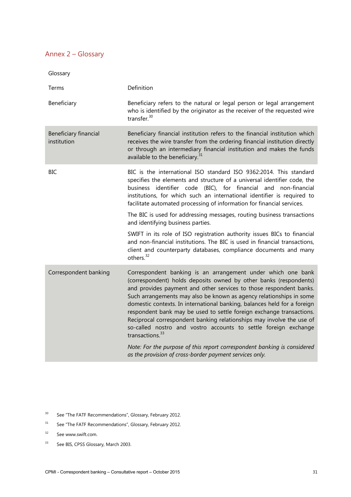# <span id="page-34-0"></span>Annex 2 – Glossary

| Glossary                             |                                                                                                                                                                                                                                                                                                                                                                                                                                                                                                                                                                                                               |  |  |  |
|--------------------------------------|---------------------------------------------------------------------------------------------------------------------------------------------------------------------------------------------------------------------------------------------------------------------------------------------------------------------------------------------------------------------------------------------------------------------------------------------------------------------------------------------------------------------------------------------------------------------------------------------------------------|--|--|--|
| Terms                                | Definition                                                                                                                                                                                                                                                                                                                                                                                                                                                                                                                                                                                                    |  |  |  |
| Beneficiary                          | Beneficiary refers to the natural or legal person or legal arrangement<br>who is identified by the originator as the receiver of the requested wire<br>transfer. $30$                                                                                                                                                                                                                                                                                                                                                                                                                                         |  |  |  |
| Beneficiary financial<br>institution | Beneficiary financial institution refers to the financial institution which<br>receives the wire transfer from the ordering financial institution directly<br>or through an intermediary financial institution and makes the funds<br>available to the beneficiary. <sup>31</sup>                                                                                                                                                                                                                                                                                                                             |  |  |  |
| <b>BIC</b>                           | BIC is the international ISO standard ISO 9362:2014. This standard<br>specifies the elements and structure of a universal identifier code, the<br>business identifier code (BIC), for financial<br>and non-financial<br>institutions, for which such an international identifier is required to<br>facilitate automated processing of information for financial services.                                                                                                                                                                                                                                     |  |  |  |
|                                      | The BIC is used for addressing messages, routing business transactions<br>and identifying business parties.                                                                                                                                                                                                                                                                                                                                                                                                                                                                                                   |  |  |  |
|                                      | SWIFT in its role of ISO registration authority issues BICs to financial<br>and non-financial institutions. The BIC is used in financial transactions,<br>client and counterparty databases, compliance documents and many<br>others. <sup>32</sup>                                                                                                                                                                                                                                                                                                                                                           |  |  |  |
| Correspondent banking                | Correspondent banking is an arrangement under which one bank<br>(correspondent) holds deposits owned by other banks (respondents)<br>and provides payment and other services to those respondent banks.<br>Such arrangements may also be known as agency relationships in some<br>domestic contexts. In international banking, balances held for a foreign<br>respondent bank may be used to settle foreign exchange transactions.<br>Reciprocal correspondent banking relationships may involve the use of<br>so-called nostro and vostro accounts to settle foreign exchange<br>transactions. <sup>33</sup> |  |  |  |
|                                      | Note: For the purpose of this report correspondent banking is considered<br>as the provision of cross-border payment services only.                                                                                                                                                                                                                                                                                                                                                                                                                                                                           |  |  |  |

- <sup>30</sup> See "The FATF Recommendations", Glossary, February 2012.
- <sup>31</sup> See "The FATF Recommendations", Glossary, February 2012.
- <sup>32</sup> See www.swift.com.
- <sup>33</sup> See BIS, CPSS Glossary, March 2003.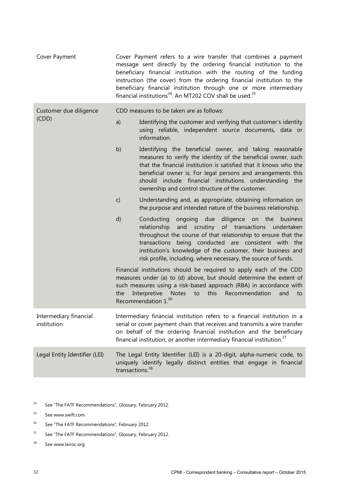| Cover Payment                         | Cover Payment refers to a wire transfer that combines a payment<br>message sent directly by the ordering financial institution to the<br>beneficiary financial institution with the routing of the funding<br>instruction (the cover) from the ordering financial institution to the<br>beneficiary financial institution through one or more intermediary<br>financial institutions <sup>34</sup> . An MT202 COV shall be used. <sup>35</sup> |                                                                                                                                                                                                                                                                                                                                                                                   |  |  |
|---------------------------------------|------------------------------------------------------------------------------------------------------------------------------------------------------------------------------------------------------------------------------------------------------------------------------------------------------------------------------------------------------------------------------------------------------------------------------------------------|-----------------------------------------------------------------------------------------------------------------------------------------------------------------------------------------------------------------------------------------------------------------------------------------------------------------------------------------------------------------------------------|--|--|
| Customer due diligence                |                                                                                                                                                                                                                                                                                                                                                                                                                                                | CDD measures to be taken are as follows:                                                                                                                                                                                                                                                                                                                                          |  |  |
| (CDD)                                 | a)                                                                                                                                                                                                                                                                                                                                                                                                                                             | Identifying the customer and verifying that customer's identity<br>using reliable, independent source documents, data or<br>information.                                                                                                                                                                                                                                          |  |  |
|                                       | b)                                                                                                                                                                                                                                                                                                                                                                                                                                             | Identifying the beneficial owner, and taking reasonable<br>measures to verify the identity of the beneficial owner, such<br>that the financial institution is satisfied that it knows who the<br>beneficial owner is. For legal persons and arrangements this<br>should include financial institutions understanding the<br>ownership and control structure of the customer.      |  |  |
|                                       | C)                                                                                                                                                                                                                                                                                                                                                                                                                                             | Understanding and, as appropriate, obtaining information on<br>the purpose and intended nature of the business relationship.                                                                                                                                                                                                                                                      |  |  |
|                                       | d)                                                                                                                                                                                                                                                                                                                                                                                                                                             | ongoing due<br>diligence on the business<br>Conducting<br>and scrutiny<br>of transactions<br>relationship<br>undertaken<br>throughout the course of that relationship to ensure that the<br>transactions being conducted are consistent with the<br>institution's knowledge of the customer, their business and<br>risk profile, including, where necessary, the source of funds. |  |  |
|                                       | the                                                                                                                                                                                                                                                                                                                                                                                                                                            | Financial institutions should be required to apply each of the CDD<br>measures under (a) to (d) above, but should determine the extent of<br>such measures using a risk-based approach (RBA) in accordance with<br>this<br>Interpretive<br><b>Notes</b><br>Recommendation<br>to<br>and<br>to<br>Recommendation 1. <sup>36</sup>                                                   |  |  |
| Intermediary financial<br>institution |                                                                                                                                                                                                                                                                                                                                                                                                                                                | Intermediary financial institution refers to a financial institution in a<br>serial or cover payment chain that receives and transmits a wire transfer<br>on behalf of the ordering financial institution and the beneficiary<br>financial institution, or another intermediary financial institution. <sup>37</sup>                                                              |  |  |
| Legal Entity Identifier (LEI)         | transactions. <sup>38</sup>                                                                                                                                                                                                                                                                                                                                                                                                                    | The Legal Entity Identifier (LEI) is a 20-digit, alpha-numeric code, to<br>uniquely identify legally distinct entities that engage in financial                                                                                                                                                                                                                                   |  |  |

- <sup>34</sup> See "The FATF Recommendations", Glossary, February 2012.
- <sup>35</sup> See www.swift.com.
- <sup>36</sup> See "The FATF Recommendations", February 2012.
- <sup>37</sup> See "The FATF Recommendations", Glossary, February 2012.
- <sup>38</sup> See www.leiroc.org.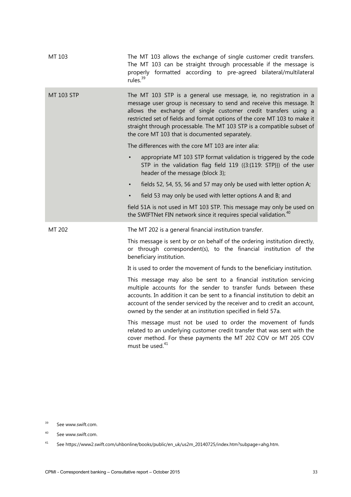| MT 103     | The MT 103 allows the exchange of single customer credit transfers.<br>The MT 103 can be straight through processable if the message is<br>properly formatted according to pre-agreed bilateral/multilateral<br>rules. <sup>39</sup>                                                                                                                                                                                  |
|------------|-----------------------------------------------------------------------------------------------------------------------------------------------------------------------------------------------------------------------------------------------------------------------------------------------------------------------------------------------------------------------------------------------------------------------|
| MT 103 STP | The MT 103 STP is a general use message, ie, no registration in a<br>message user group is necessary to send and receive this message. It<br>allows the exchange of single customer credit transfers using a<br>restricted set of fields and format options of the core MT 103 to make it<br>straight through processable. The MT 103 STP is a compatible subset of<br>the core MT 103 that is documented separately. |
|            | The differences with the core MT 103 are inter alia:                                                                                                                                                                                                                                                                                                                                                                  |
|            | appropriate MT 103 STP format validation is triggered by the code<br>STP in the validation flag field 119 ({3:{119: STP}}) of the user<br>header of the message (block 3);                                                                                                                                                                                                                                            |
|            | fields 52, 54, 55, 56 and 57 may only be used with letter option A;<br>$\bullet$                                                                                                                                                                                                                                                                                                                                      |
|            | field 53 may only be used with letter options A and B; and                                                                                                                                                                                                                                                                                                                                                            |
|            | field 51A is not used in MT 103 STP. This message may only be used on<br>the SWIFTNet FIN network since it requires special validation. <sup>40</sup>                                                                                                                                                                                                                                                                 |
| MT 202     | The MT 202 is a general financial institution transfer.                                                                                                                                                                                                                                                                                                                                                               |
|            | This message is sent by or on behalf of the ordering institution directly,<br>or through correspondent(s), to the financial institution of the<br>beneficiary institution.                                                                                                                                                                                                                                            |
|            | It is used to order the movement of funds to the beneficiary institution.                                                                                                                                                                                                                                                                                                                                             |
|            | This message may also be sent to a financial institution servicing<br>multiple accounts for the sender to transfer funds between these<br>accounts. In addition it can be sent to a financial institution to debit an<br>account of the sender serviced by the receiver and to credit an account,<br>owned by the sender at an institution specified in field 57a.                                                    |
|            | This message must not be used to order the movement of funds<br>related to an underlying customer credit transfer that was sent with the<br>cover method. For these payments the MT 202 COV or MT 205 COV<br>must be used. <sup>41</sup>                                                                                                                                                                              |

<sup>&</sup>lt;sup>39</sup> See www.swift.com.

<sup>40</sup> See www.swift.com.

<sup>41</sup> See https://www2.swift.com/uhbonline/books/public/en\_uk/us2m\_20140725/index.htm?subpage=ahg.htm.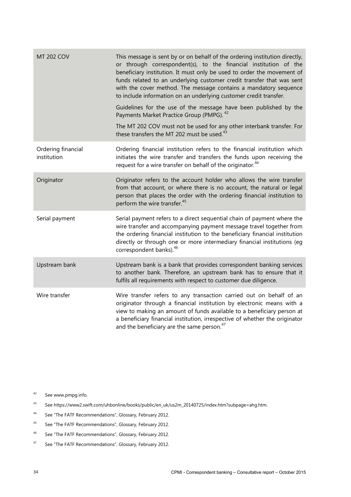| <b>MT 202 COV</b>                 | This message is sent by or on behalf of the ordering institution directly,<br>or through correspondent(s), to the financial institution of the<br>beneficiary institution. It must only be used to order the movement of<br>funds related to an underlying customer credit transfer that was sent<br>with the cover method. The message contains a mandatory sequence<br>to include information on an underlying customer credit transfer.<br>Guidelines for the use of the message have been published by the<br>Payments Market Practice Group (PMPG). <sup>42</sup> |
|-----------------------------------|------------------------------------------------------------------------------------------------------------------------------------------------------------------------------------------------------------------------------------------------------------------------------------------------------------------------------------------------------------------------------------------------------------------------------------------------------------------------------------------------------------------------------------------------------------------------|
|                                   | The MT 202 COV must not be used for any other interbank transfer. For<br>these transfers the MT 202 must be used. <sup>43</sup>                                                                                                                                                                                                                                                                                                                                                                                                                                        |
| Ordering financial<br>institution | Ordering financial institution refers to the financial institution which<br>initiates the wire transfer and transfers the funds upon receiving the<br>request for a wire transfer on behalf of the originator. <sup>44</sup>                                                                                                                                                                                                                                                                                                                                           |
| Originator                        | Originator refers to the account holder who allows the wire transfer<br>from that account, or where there is no account, the natural or legal<br>person that places the order with the ordering financial institution to<br>perform the wire transfer. <sup>45</sup>                                                                                                                                                                                                                                                                                                   |
| Serial payment                    | Serial payment refers to a direct sequential chain of payment where the<br>wire transfer and accompanying payment message travel together from<br>the ordering financial institution to the beneficiary financial institution<br>directly or through one or more intermediary financial institutions (eg<br>correspondent banks). <sup>46</sup>                                                                                                                                                                                                                        |
| Upstream bank                     | Upstream bank is a bank that provides correspondent banking services<br>to another bank. Therefore, an upstream bank has to ensure that it<br>fulfils all requirements with respect to customer due diligence.                                                                                                                                                                                                                                                                                                                                                         |
| Wire transfer                     | Wire transfer refers to any transaction carried out on behalf of an<br>originator through a financial institution by electronic means with a<br>view to making an amount of funds available to a beneficiary person at<br>a beneficiary financial institution, irrespective of whether the originator<br>and the beneficiary are the same person. <sup>47</sup>                                                                                                                                                                                                        |

<sup>42</sup> See www.pmpg.info.

- <sup>43</sup> See https://www2.swift.com/uhbonline/books/public/en\_uk/us2m\_20140725/index.htm?subpage=ahg.htm.
- <sup>44</sup> See "The FATF Recommendations", Glossary, February 2012.
- <sup>45</sup> See "The FATF Recommendations", Glossary, February 2012.
- <sup>46</sup> See "The FATF Recommendations", Glossary, February 2012.
- <sup>47</sup> See "The FATF Recommendations", Glossary, February 2012.